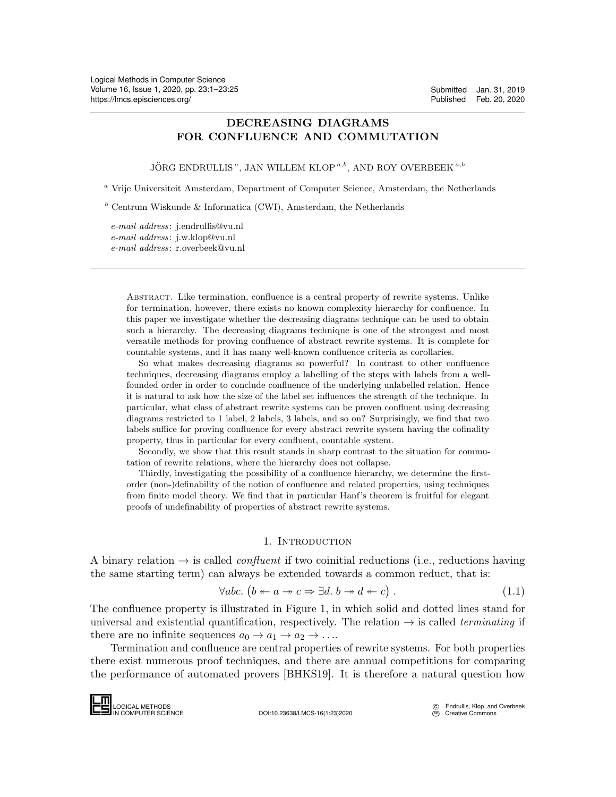# DECREASING DIAGRAMS FOR CONFLUENCE AND COMMUTATION

JÖRG ENDRULLIS<sup>a</sup>, JAN WILLEM KLOP<sup>a,b</sup>, AND ROY OVERBEEK<sup>a,b</sup>

<sup>a</sup> Vrije Universiteit Amsterdam, Department of Computer Science, Amsterdam, the Netherlands

 $b$  Centrum Wiskunde & Informatica (CWI), Amsterdam, the Netherlands

e-mail address: j.endrullis@vu.nl e-mail address: j.w.klop@vu.nl e-mail address: r.overbeek@vu.nl

> Abstract. Like termination, confluence is a central property of rewrite systems. Unlike for termination, however, there exists no known complexity hierarchy for confluence. In this paper we investigate whether the decreasing diagrams technique can be used to obtain such a hierarchy. The decreasing diagrams technique is one of the strongest and most versatile methods for proving confluence of abstract rewrite systems. It is complete for countable systems, and it has many well-known confluence criteria as corollaries.

> So what makes decreasing diagrams so powerful? In contrast to other confluence techniques, decreasing diagrams employ a labelling of the steps with labels from a wellfounded order in order to conclude confluence of the underlying unlabelled relation. Hence it is natural to ask how the size of the label set influences the strength of the technique. In particular, what class of abstract rewrite systems can be proven confluent using decreasing diagrams restricted to 1 label, 2 labels, 3 labels, and so on? Surprisingly, we find that two labels suffice for proving confluence for every abstract rewrite system having the cofinality property, thus in particular for every confluent, countable system.

> Secondly, we show that this result stands in sharp contrast to the situation for commutation of rewrite relations, where the hierarchy does not collapse.

> Thirdly, investigating the possibility of a confluence hierarchy, we determine the firstorder (non-)definability of the notion of confluence and related properties, using techniques from finite model theory. We find that in particular Hanf's theorem is fruitful for elegant proofs of undefinability of properties of abstract rewrite systems.

#### <span id="page-0-0"></span>1. Introduction

A binary relation  $\rightarrow$  is called *confluent* if two coinitial reductions (i.e., reductions having the same starting term) can always be extended towards a common reduct, that is:

$$
\forall abc. (b \leftarrow a \rightarrow c \Rightarrow \exists d. b \rightarrow d \leftarrow c).
$$
 (1.1)

The confluence property is illustrated in Figure [1,](#page-1-0) in which solid and dotted lines stand for universal and existential quantification, respectively. The relation  $\rightarrow$  is called *terminating* if there are no infinite sequences  $a_0 \rightarrow a_1 \rightarrow a_2 \rightarrow \ldots$ 

Termination and confluence are central properties of rewrite systems. For both properties there exist numerous proof techniques, and there are annual competitions for comparing the performance of automated provers [\[BHKS19\]](#page-23-0). It is therefore a natural question how The confluence p<br>universal and exist<br>there are no infin<br>there exist nume<br>the performance<br> $\Box$ <br> $\Box$ <br> $\Box$ <br> $\Box$ <br> $\Box$ <br> $\Box$ <br> $\Box$ 

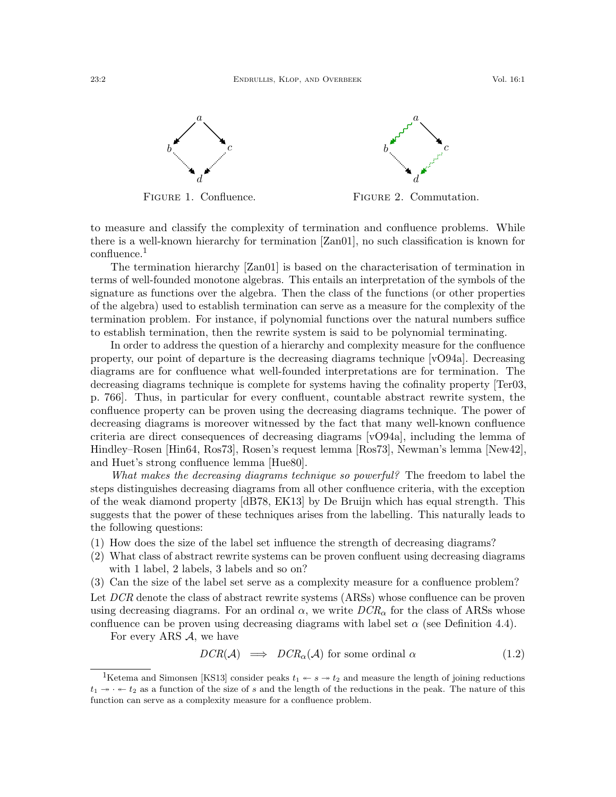<span id="page-1-0"></span>

Figure 1. Confluence.

Figure 2. Commutation.

to measure and classify the complexity of termination and confluence problems. While there is a well-known hierarchy for termination [\[Zan01\]](#page-24-1), no such classification is known for confluence.<sup>[1](#page-1-1)</sup>

The termination hierarchy [\[Zan01\]](#page-24-1) is based on the characterisation of termination in terms of well-founded monotone algebras. This entails an interpretation of the symbols of the signature as functions over the algebra. Then the class of the functions (or other properties of the algebra) used to establish termination can serve as a measure for the complexity of the termination problem. For instance, if polynomial functions over the natural numbers suffice to establish termination, then the rewrite system is said to be polynomial terminating.

In order to address the question of a hierarchy and complexity measure for the confluence property, our point of departure is the decreasing diagrams technique [\[vO94a\]](#page-24-2). Decreasing diagrams are for confluence what well-founded interpretations are for termination. The decreasing diagrams technique is complete for systems having the cofinality property [\[Ter03,](#page-24-3) p. 766]. Thus, in particular for every confluent, countable abstract rewrite system, the confluence property can be proven using the decreasing diagrams technique. The power of decreasing diagrams is moreover witnessed by the fact that many well-known confluence criteria are direct consequences of decreasing diagrams [\[vO94a\]](#page-24-2), including the lemma of Hindley–Rosen [\[Hin64,](#page-23-1) [Ros73\]](#page-24-4), Rosen's request lemma [\[Ros73\]](#page-24-4), Newman's lemma [\[New42\]](#page-24-5), and Huet's strong confluence lemma [\[Hue80\]](#page-23-2).

What makes the decreasing diagrams technique so powerful? The freedom to label the steps distinguishes decreasing diagrams from all other confluence criteria, with the exception of the weak diamond property [\[dB78,](#page-23-3) [EK13\]](#page-23-4) by De Bruijn which has equal strength. This suggests that the power of these techniques arises from the labelling. This naturally leads to the following questions:

- (1) How does the size of the label set influence the strength of decreasing diagrams?
- (2) What class of abstract rewrite systems can be proven confluent using decreasing diagrams with 1 label, 2 labels, 3 labels and so on?
- (3) Can the size of the label set serve as a complexity measure for a confluence problem?

Let DCR denote the class of abstract rewrite systems (ARSs) whose confluence can be proven using decreasing diagrams. For an ordinal  $\alpha$ , we write  $DCR_{\alpha}$  for the class of ARSs whose confluence can be proven using decreasing diagrams with label set  $\alpha$  (see Definition [4.4\)](#page-12-0).

For every ARS  $A$ , we have

$$
DCR(\mathcal{A}) \implies DCR_{\alpha}(\mathcal{A}) \text{ for some ordinal } \alpha \tag{1.2}
$$

<span id="page-1-1"></span><sup>&</sup>lt;sup>1</sup>Ketema and Simonsen [\[KS13\]](#page-23-5) consider peaks  $t_1 \leftarrow s \rightarrow t_2$  and measure the length of joining reductions  $t_1 \rightarrow \cdot \cdot \cdot t_2$  as a function of the size of s and the length of the reductions in the peak. The nature of this function can serve as a complexity measure for a confluence problem.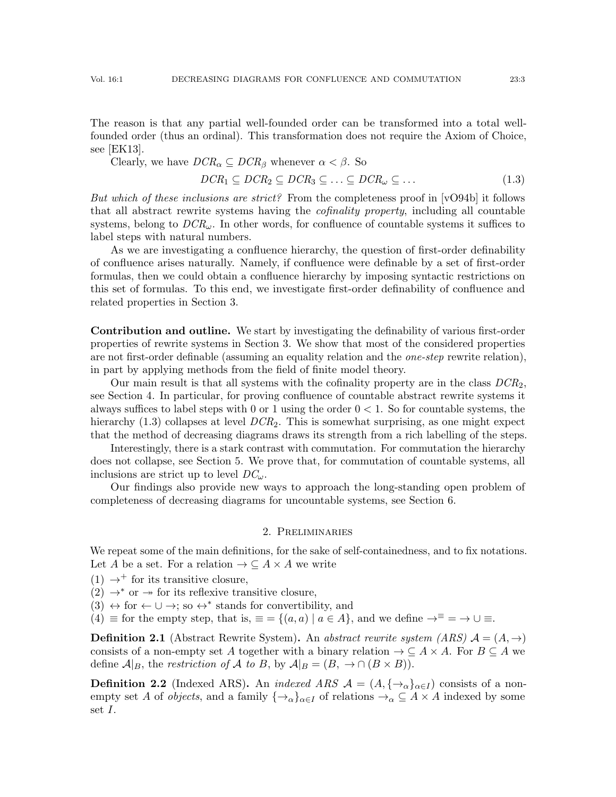The reason is that any partial well-founded order can be transformed into a total wellfounded order (thus an ordinal). This transformation does not require the Axiom of Choice, see [\[EK13\]](#page-23-4).

Clearly, we have  $DCR_{\alpha} \subseteq DCR_{\beta}$  whenever  $\alpha < \beta$ . So

<span id="page-2-0"></span>
$$
DCR_1 \subseteq DCR_2 \subseteq DCR_3 \subseteq \ldots \subseteq DCR_{\omega} \subseteq \ldots \tag{1.3}
$$

But which of these inclusions are strict? From the completeness proof in [\[vO94b\]](#page-24-6) it follows that all abstract rewrite systems having the cofinality property, including all countable systems, belong to  $DCR_{\omega}$ . In other words, for confluence of countable systems it suffices to label steps with natural numbers.

As we are investigating a confluence hierarchy, the question of first-order definability of confluence arises naturally. Namely, if confluence were definable by a set of first-order formulas, then we could obtain a confluence hierarchy by imposing syntactic restrictions on this set of formulas. To this end, we investigate first-order definability of confluence and related properties in Section [3.](#page-4-0)

Contribution and outline. We start by investigating the definability of various first-order properties of rewrite systems in Section [3.](#page-4-0) We show that most of the considered properties are not first-order definable (assuming an equality relation and the *one-step* rewrite relation), in part by applying methods from the field of finite model theory.

Our main result is that all systems with the cofinality property are in the class  $DCR<sub>2</sub>$ , see Section [4.](#page-12-1) In particular, for proving confluence of countable abstract rewrite systems it always suffices to label steps with 0 or 1 using the order  $0 < 1$ . So for countable systems, the hierarchy  $(1.3)$  collapses at level  $DCR<sub>2</sub>$ . This is somewhat surprising, as one might expect that the method of decreasing diagrams draws its strength from a rich labelling of the steps.

Interestingly, there is a stark contrast with commutation. For commutation the hierarchy does not collapse, see Section [5.](#page-16-0) We prove that, for commutation of countable systems, all inclusions are strict up to level  $DC_{\omega}$ .

Our findings also provide new ways to approach the long-standing open problem of completeness of decreasing diagrams for uncountable systems, see Section [6.](#page-20-0)

## 2. Preliminaries

We repeat some of the main definitions, for the sake of self-containedness, and to fix notations. Let A be a set. For a relation  $\rightarrow \subseteq A \times A$  we write

 $(1) \rightarrow^+$  for its transitive closure,

 $(2) \rightarrow^*$  or  $\rightarrow$  for its reflexive transitive closure,

 $(3) \leftrightarrow$  for  $\leftarrow \cup \rightarrow$ ; so  $\leftrightarrow^*$  stands for convertibility, and

(4)  $\equiv$  for the empty step, that is,  $\equiv$  = { $(a, a) | a \in A$ }, and we define  $\rightarrow \equiv$   $\rightarrow \cup \equiv$ .

**Definition 2.1** (Abstract Rewrite System). An abstract rewrite system (ARS)  $A = (A, \rightarrow)$ consists of a non-empty set A together with a binary relation  $\rightarrow \subseteq A \times A$ . For  $B \subseteq A$  we define  $A|_B$ , the restriction of A to B, by  $A|_B = (B, \rightarrow \cap (B \times B)).$ 

**Definition 2.2** (Indexed ARS). An *indexed ARS*  $\mathcal{A} = (A, \{\rightarrow_{\alpha}\}_{{\alpha}\in I})$  consists of a nonempty set A of *objects*, and a family  $\{\rightarrow_{\alpha}\}_{{\alpha}\in I}$  of relations  $\rightarrow_{\alpha} \subseteq A \times A$  indexed by some set I.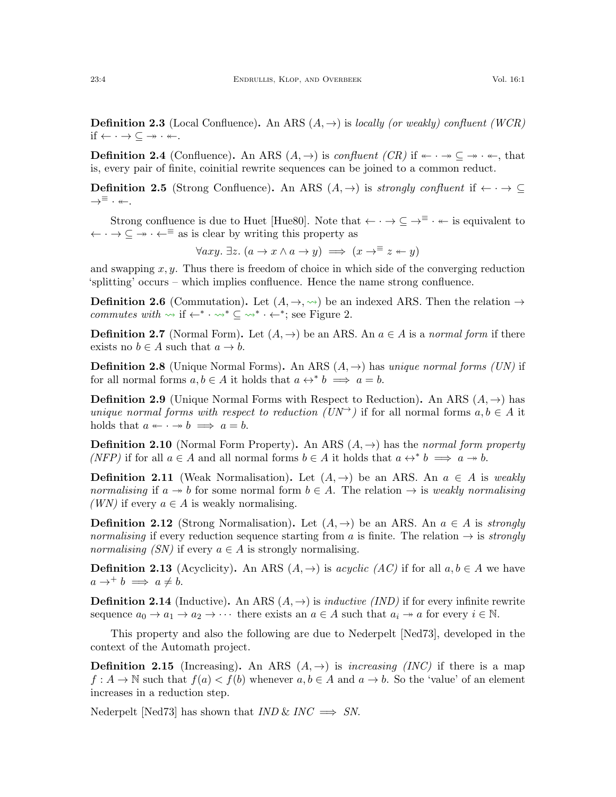**Definition 2.3** (Local Confluence). An ARS  $(A, \rightarrow)$  is locally (or weakly) confluent (WCR) if  $\leftarrow \cdot \rightarrow \subseteq \rightarrow \cdot \leftarrow$ .

**Definition 2.4** (Confluence). An ARS  $(A, \rightarrow)$  is confluent (CR) if  $\leftarrow \rightarrow \subseteq \rightarrow \rightarrow \leftarrow$ , that is, every pair of finite, coinitial rewrite sequences can be joined to a common reduct.

**Definition 2.5** (Strong Confluence). An ARS  $(A, \rightarrow)$  is strongly confluent if  $\leftarrow \rightarrow \subseteq$  $\rightarrow^{\equiv}$   $\cdot$   $\leftarrow$ .

Strong confluence is due to Huet [\[Hue80\]](#page-23-2). Note that  $\leftarrow \cdot \rightarrow \subseteq \rightarrow^{\equiv} \cdot \leftarrow$  is equivalent to  $\leftarrow \cdot \rightarrow \subseteq \rightarrow \cdot \leftarrow =$  as is clear by writing this property as

$$
\forall axy. \ \exists z. \ (a \rightarrow x \land a \rightarrow y) \implies (x \rightarrow^{\equiv} z \leftarrow y)
$$

and swapping  $x, y$ . Thus there is freedom of choice in which side of the converging reduction 'splitting' occurs – which implies confluence. Hence the name strong confluence.

**Definition 2.6** (Commutation). Let  $(A, \rightarrow, \rightsquigarrow)$  be an indexed ARS. Then the relation  $\rightarrow$ commutes with  $\rightsquigarrow$  if  $\leftarrow^* \cdot \rightsquigarrow^* \subseteq \rightsquigarrow^* \cdot \leftarrow^*$ ; see Figure [2.](#page-1-0)

**Definition 2.7** (Normal Form). Let  $(A, \rightarrow)$  be an ARS. An  $a \in A$  is a normal form if there exists no  $b \in A$  such that  $a \to b$ .

**Definition 2.8** (Unique Normal Forms). An ARS  $(A, \rightarrow)$  has unique normal forms (UN) if for all normal forms  $a, b \in A$  it holds that  $a \leftrightarrow^* b \implies a = b$ .

**Definition 2.9** (Unique Normal Forms with Respect to Reduction). An ARS  $(A, \rightarrow)$  has unique normal forms with respect to reduction  $(UN^+)$  if for all normal forms  $a, b \in A$  it holds that  $a \leftarrow \cdot \rightarrow b \implies a = b$ .

**Definition 2.10** (Normal Form Property). An ARS  $(A, \rightarrow)$  has the normal form property (NFP) if for all  $a \in A$  and all normal forms  $b \in A$  it holds that  $a \leftrightarrow^* b \implies a \twoheadrightarrow b$ .

**Definition 2.11** (Weak Normalisation). Let  $(A, \rightarrow)$  be an ARS. An  $a \in A$  is weakly normalising if  $a \rightarrow b$  for some normal form  $b \in A$ . The relation  $\rightarrow$  is weakly normalising (WN) if every  $a \in A$  is weakly normalising.

**Definition 2.12** (Strong Normalisation). Let  $(A, \rightarrow)$  be an ARS. An  $a \in A$  is *strongly* normalising if every reduction sequence starting from a is finite. The relation  $\rightarrow$  is *strongly* normalising (SN) if every  $a \in A$  is strongly normalising.

**Definition 2.13** (Acyclicity). An ARS  $(A, \rightarrow)$  is acyclic  $(AC)$  if for all  $a, b \in A$  we have  $a \rightarrow^+ b \implies a \neq b$ .

**Definition 2.14** (Inductive). An ARS  $(A, \rightarrow)$  is *inductive (IND)* if for every infinite rewrite sequence  $a_0 \to a_1 \to a_2 \to \cdots$  there exists an  $a \in A$  such that  $a_i \to a$  for every  $i \in \mathbb{N}$ .

This property and also the following are due to Nederpelt [\[Ned73\]](#page-24-7), developed in the context of the Automath project.

**Definition 2.15** (Increasing). An ARS  $(A, \rightarrow)$  is *increasing (INC)* if there is a map  $f: A \to \mathbb{N}$  such that  $f(a) < f(b)$  whenever  $a, b \in A$  and  $a \to b$ . So the 'value' of an element increases in a reduction step.

Nederpelt [\[Ned73\]](#page-24-7) has shown that  $IND \& INC \implies SN$ .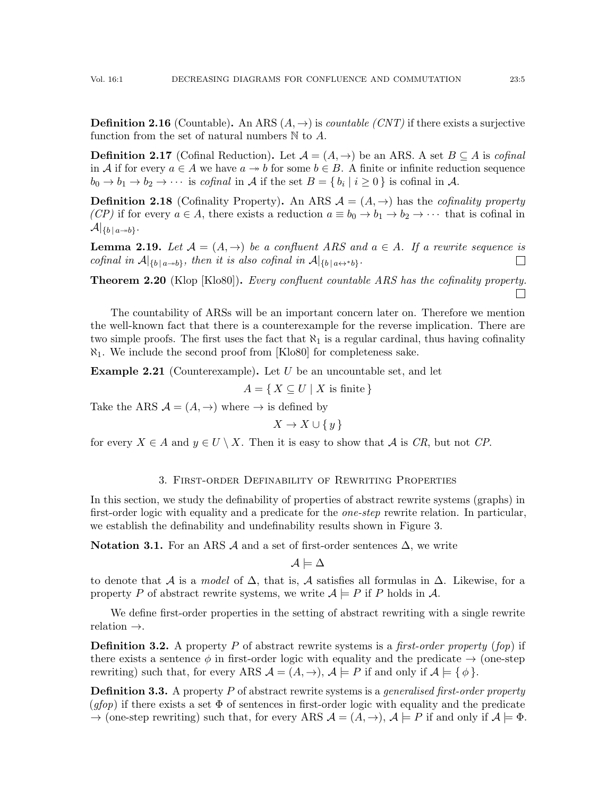**Definition 2.16** (Countable). An ARS  $(A, \rightarrow)$  is *countable (CNT)* if there exists a surjective function from the set of natural numbers  $\mathbb N$  to  $A$ .

**Definition 2.17** (Cofinal Reduction). Let  $\mathcal{A} = (A, \rightarrow)$  be an ARS. A set  $B \subseteq A$  is cofinal in A if for every  $a \in A$  we have  $a \to b$  for some  $b \in B$ . A finite or infinite reduction sequence  $b_0 \to b_1 \to b_2 \to \cdots$  is cofinal in A if the set  $B = \{b_i \mid i \ge 0\}$  is cofinal in A.

**Definition 2.18** (Cofinality Property). An ARS  $\mathcal{A} = (A, \rightarrow)$  has the *cofinality property* (CP) if for every  $a \in A$ , there exists a reduction  $a \equiv b_0 \to b_1 \to b_2 \to \cdots$  that is cofinal in  $\mathcal{A}|_{\{b\,|\,a\rightarrow b\}}.$ 

<span id="page-4-1"></span>**Lemma 2.19.** Let  $\mathcal{A} = (A, \rightarrow)$  be a confluent ARS and  $a \in A$ . If a rewrite sequence is cofinal in  $\mathcal{A}|_{\{b \mid a \to b\}}$ , then it is also cofinal in  $\mathcal{A}|_{\{b \mid a \leftrightarrow^* b\}}$ .  $\Box$ 

<span id="page-4-2"></span>**Theorem 2.20** (Klop [\[Klo80\]](#page-23-6)). Every confluent countable ARS has the cofinality property.  $\Box$ 

The countability of ARSs will be an important concern later on. Therefore we mention the well-known fact that there is a counterexample for the reverse implication. There are two simple proofs. The first uses the fact that  $\aleph_1$  is a regular cardinal, thus having cofinality  $\aleph_1$ . We include the second proof from [\[Klo80\]](#page-23-6) for completeness sake.

**Example 2.21** (Counterexample). Let U be an uncountable set, and let

 $A = \{ X \subseteq U \mid X \text{ is finite } \}$ 

Take the ARS  $A = (A, \rightarrow)$  where  $\rightarrow$  is defined by

 $X \to X \cup \{y\}$ 

for every  $X \in A$  and  $y \in U \setminus X$ . Then it is easy to show that A is CR, but not CP.

## 3. First-order Definability of Rewriting Properties

<span id="page-4-0"></span>In this section, we study the definability of properties of abstract rewrite systems (graphs) in first-order logic with equality and a predicate for the *one-step* rewrite relation. In particular, we establish the definability and undefinability results shown in Figure [3.](#page-5-0)

Notation 3.1. For an ARS  $\mathcal A$  and a set of first-order sentences  $\Delta$ , we write

 $\mathcal{A} \models \Delta$ 

to denote that A is a model of  $\Delta$ , that is, A satisfies all formulas in  $\Delta$ . Likewise, for a property P of abstract rewrite systems, we write  $A \models P$  if P holds in A.

We define first-order properties in the setting of abstract rewriting with a single rewrite relation →.

**Definition 3.2.** A property P of abstract rewrite systems is a *first-order property* (*fop*) if there exists a sentence  $\phi$  in first-order logic with equality and the predicate  $\rightarrow$  (one-step rewriting) such that, for every ARS  $\mathcal{A} = (A, \rightarrow), \mathcal{A} \models P$  if and only if  $\mathcal{A} \models \{\phi\}.$ 

**Definition 3.3.** A property  $P$  of abstract rewrite systems is a *generalised first-order property*  $(gtop)$  if there exists a set  $\Phi$  of sentences in first-order logic with equality and the predicate  $\rightarrow$  (one-step rewriting) such that, for every ARS  $\mathcal{A} = (A, \rightarrow)$ ,  $\mathcal{A} \models P$  if and only if  $\mathcal{A} \models \Phi$ .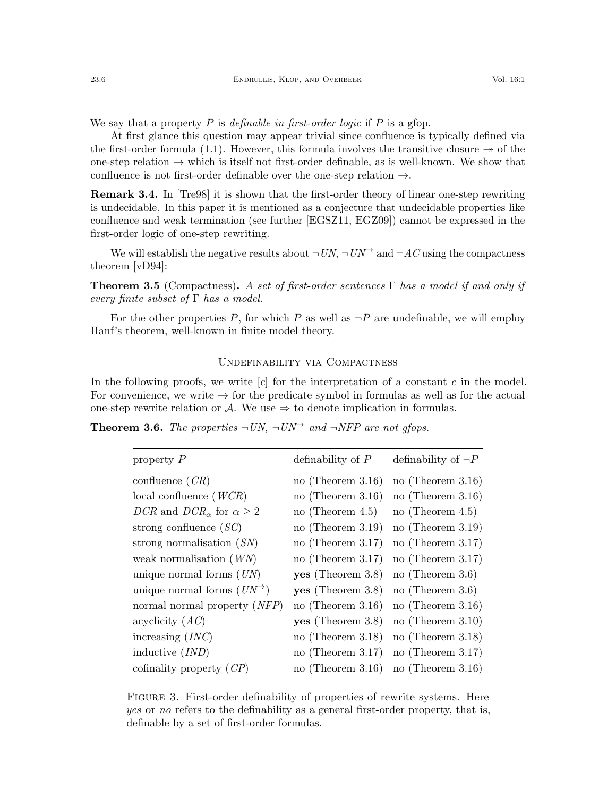We say that a property P is definable in first-order logic if P is a grop.

At first glance this question may appear trivial since confluence is typically defined via the first-order formula [\(1.1\)](#page-0-0). However, this formula involves the transitive closure  $\rightarrow$  of the one-step relation  $\rightarrow$  which is itself not first-order definable, as is well-known. We show that confluence is not first-order definable over the one-step relation  $\rightarrow$ .

Remark 3.4. In [\[Tre98\]](#page-24-8) it is shown that the first-order theory of linear one-step rewriting is undecidable. In this paper it is mentioned as a conjecture that undecidable properties like confluence and weak termination (see further [\[EGSZ11,](#page-23-7) [EGZ09\]](#page-23-8)) cannot be expressed in the first-order logic of one-step rewriting.

We will establish the negative results about  $\neg UN$ ,  $\neg UN^{\rightarrow}$  and  $\neg AC$  using the compactness theorem [\[vD94\]](#page-24-9):

**Theorem 3.5** (Compactness). A set of first-order sentences  $\Gamma$  has a model if and only if every finite subset of  $\Gamma$  has a model.

For the other properties P, for which P as well as  $\neg P$  are undefinable, we will employ Hanf's theorem, well-known in finite model theory.

### Undefinability via Compactness

In the following proofs, we write  $[c]$  for the interpretation of a constant c in the model. For convenience, we write  $\rightarrow$  for the predicate symbol in formulas as well as for the actual one-step rewrite relation or A. We use  $\Rightarrow$  to denote implication in formulas.

<span id="page-5-1"></span><span id="page-5-0"></span>**Theorem 3.6.** The properties  $\neg UN$ ,  $\neg UN^{\rightarrow}$  and  $\neg NFP$  are not glops.

| property $P$                                                   | definability of $P$  | definability of $\neg P$ |
|----------------------------------------------------------------|----------------------|--------------------------|
| confluence $(CR)$                                              | no (Theorem $3.16$ ) | no (Theorem $3.16$ )     |
| local confluence $(WCR)$                                       | no (Theorem $3.16$ ) | no (Theorem $3.16$ )     |
| DCR and DCR <sub><math>\alpha</math></sub> for $\alpha \geq 2$ | no (Theorem $4.5$ )  | no (Theorem $4.5$ )      |
| strong confluence $(SC)$                                       | no (Theorem $3.19$ ) | no (Theorem $3.19$ )     |
| strong normalisation $(SN)$                                    | no (Theorem $3.17$ ) | no (Theorem $3.17$ )     |
| weak normalisation $(WN)$                                      | no (Theorem $3.17$ ) | no (Theorem $3.17$ )     |
| unique normal forms $(UN)$                                     | yes (Theorem 3.8)    | no (Theorem $3.6$ )      |
| unique normal forms $(UN^{\rightarrow})$                       | yes (Theorem 3.8)    | no (Theorem $3.6$ )      |
| normal normal property (NFP)                                   | no (Theorem $3.16$ ) | no (Theorem $3.16$ )     |
| acyclicity $(AC)$                                              | yes (Theorem 3.8)    | no (Theorem $3.10$ )     |
| increasing $(INC)$                                             | no (Theorem $3.18$ ) | no (Theorem $3.18$ )     |
| inductive (IND)                                                | no (Theorem $3.17$ ) | no (Theorem $3.17$ )     |
| cofinality property $(CP)$                                     | no (Theorem $3.16$ ) | no (Theorem $3.16$ )     |
|                                                                |                      |                          |

FIGURE 3. First-order definability of properties of rewrite systems. Here yes or no refers to the definability as a general first-order property, that is, definable by a set of first-order formulas.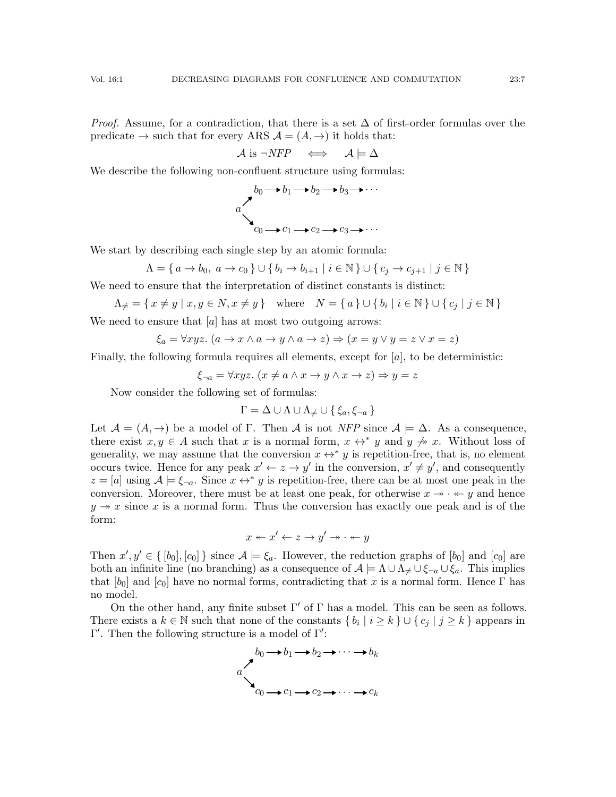*Proof.* Assume, for a contradiction, that there is a set  $\Delta$  of first-order formulas over the predicate  $\rightarrow$  such that for every ARS  $\mathcal{A} = (A, \rightarrow)$  it holds that:

$$
\mathcal{A} \text{ is } \neg NFP \quad \Longleftrightarrow \quad \mathcal{A} \models \Delta
$$

We describe the following non-confluent structure using formulas:

$$
a\n\begin{matrix}\n b_0 & b_1 & b_2 & b_3 & b_3 \\
 \searrow & & c_0 & b_1 & b_2 & b_3 & b_3 \\
 \searrow & & & c_0 & b_1 & b_2 & b_3 & b_3 & b_3 \\
 \searrow & & & & c_0 & b_1 & b_2 & b_3 & b_3 & b_3 & b_3 & b_3 & b_3 & b_3 & b_3 & b_3 & b_3 & b_3 & b_3 & b_3 & b_3 & b_3 & b_3 & b_3 & b_3 & b_3 & b_3 & b_3 & b_3 & b_3 & b_3 & b_3 & b_3 & b_3 & b_3 & b_3 & b_3 & b_3 & b_3 & b_3 & b_3 & b_3 & b_3 & b_3 & b_3 & b_3 & b_3 & b_3 & b_3 & b_3 & b_3 & b_3 & b_3 & b_3 & b_3 & b_3 & b_3 & b_3 & b_3 & b_3 & b_3 & b_3 & b_3 & b_3 & b_3 & b_3 & b_3 & b_3 & b_3 & b_3 & b_3 & b_3 & b_3 & b_3 & b_3 & b_3 & b_3 & b_3 & b_3 & b_3 & b_3 & b_3 & b_3 & b_3 & b_3 & b_3 & b_3 & b_3 & b_3 & b_3 & b_3 & b_3 & b_3 & b_3 & b_3 & b_3 & b_3 & b_3 & b_3 & b_3 & b_3 & b_3 & b_3 & b_3 & b_3 & b_3 & b_3 & b_3 & b
$$

We start by describing each single step by an atomic formula:

$$
\Lambda = \{ a \to b_0, \ a \to c_0 \} \cup \{ b_i \to b_{i+1} \mid i \in \mathbb{N} \} \cup \{ c_j \to c_{j+1} \mid j \in \mathbb{N} \}
$$

We need to ensure that the interpretation of distinct constants is distinct:

$$
\Lambda_{\neq} = \{ x \neq y \mid x, y \in N, x \neq y \} \quad \text{where} \quad N = \{ a \} \cup \{ b_i \mid i \in \mathbb{N} \} \cup \{ c_j \mid j \in \mathbb{N} \}
$$

We need to ensure that  $[a]$  has at most two outgoing arrows:

$$
\xi_a = \forall xyz. \ (a \to x \land a \to y \land a \to z) \Rightarrow (x = y \lor y = z \lor x = z)
$$

Finally, the following formula requires all elements, except for  $[a]$ , to be deterministic:

 $\xi_{\neg a} = \forall xyz.$   $(x \neq a \land x \rightarrow y \land x \rightarrow z) \Rightarrow y = z$ 

Now consider the following set of formulas:

$$
\Gamma = \Delta \cup \Lambda \cup \Lambda_{\neq} \cup \{\xi_a, \xi_{\neg a}\}
$$

Let  $\mathcal{A} = (A, \rightarrow)$  be a model of  $\Gamma$ . Then  $\mathcal{A}$  is not NFP since  $\mathcal{A} \models \Delta$ . As a consequence, there exist  $x, y \in A$  such that x is a normal form,  $x \leftrightarrow^* y$  and  $y \not\rightarrow x$ . Without loss of generality, we may assume that the conversion  $x \leftrightarrow^* y$  is repetition-free, that is, no element occurs twice. Hence for any peak  $x' \leftarrow z \rightarrow y'$  in the conversion,  $x' \neq y'$ , and consequently  $z = [a]$  using  $A \models \xi_{\neg a}$ . Since  $x \leftrightarrow^* y$  is repetition-free, there can be at most one peak in the conversion. Moreover, there must be at least one peak, for otherwise  $x \rightarrow \cdot \cdot \cdot \cdot$  and hence  $y \rightarrow x$  since x is a normal form. Thus the conversion has exactly one peak and is of the form:

$$
x \leftarrow x' \leftarrow z \rightarrow y' \rightarrow \cdot \leftarrow y
$$

Then  $x', y' \in \{ [b_0], [c_0] \}$  since  $\mathcal{A} \models \xi_a$ . However, the reduction graphs of  $[b_0]$  and  $[c_0]$  are both an infinite line (no branching) as a consequence of  $\mathcal{A} \models \Lambda \cup \Lambda \neq \cup \xi_{\neg a} \cup \xi_a$ . This implies that  $[b_0]$  and  $[c_0]$  have no normal forms, contradicting that x is a normal form. Hence Γ has no model.

On the other hand, any finite subset  $\Gamma'$  of  $\Gamma$  has a model. This can be seen as follows. There exists a  $k \in \mathbb{N}$  such that none of the constants  $\{b_i \mid i \geq k\} \cup \{c_j \mid j \geq k\}$  appears in  $Γ'$ . Then the following structure is a model of  $Γ'$ :

$$
a\n\begin{matrix}\n b_0 & b_1 & b_2 & \rightarrow & \cdots & b_k \\
 a & b_0 & b_1 & \rightarrow & b_2 & \rightarrow & \cdots & b_k \\
 a & b_0 & b_1 & \rightarrow & b_2 & \rightarrow & \cdots & b_k \\
 c_0 & b_1 & \rightarrow & c_2 & \rightarrow & \cdots & \rightarrow & c_k\n\end{matrix}
$$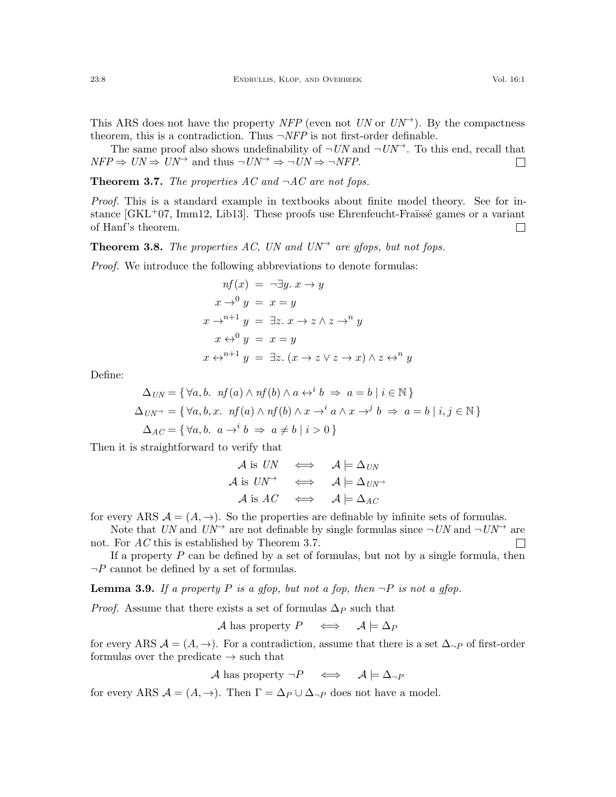theorem, this is a contradiction. Thus  $\neg NFP$  is not first-order definable. The same proof also shows undefinability of  $\neg UN$  and  $\neg UN^{\rightarrow}$ . To this end, recall that  $NFP \Rightarrow UN \Rightarrow UN^{\rightarrow}$  and thus  $\neg UN^{\rightarrow} \Rightarrow UN \Rightarrow \neg NFP$ .  $\Box$ 

<span id="page-7-1"></span>**Theorem 3.7.** The properties AC and  $\neg AC$  are not fops.

Proof. This is a standard example in textbooks about finite model theory. See for instance  $(GKL<sup>+</sup>07, Imm12, Lib13]$  $(GKL<sup>+</sup>07, Imm12, Lib13]$  $(GKL<sup>+</sup>07, Imm12, Lib13]$  $(GKL<sup>+</sup>07, Imm12, Lib13]$ . These proofs use Ehrenfeucht-Fraüssé games or a variant of Hanf's theorem.  $\Box$ 

<span id="page-7-0"></span>**Theorem 3.8.** The properties AC, UN and UN<sup> $\rightarrow$ </sup> are gfops, but not fops.

Proof. We introduce the following abbreviations to denote formulas:

$$
nf(x) = \neg \exists y. x \rightarrow y
$$
  
\n
$$
x \rightarrow^{0} y = x = y
$$
  
\n
$$
x \rightarrow^{n+1} y = \exists z. x \rightarrow z \land z \rightarrow^{n} y
$$
  
\n
$$
x \leftrightarrow^{0} y = x = y
$$
  
\n
$$
x \leftrightarrow^{n+1} y = \exists z. (x \rightarrow z \lor z \rightarrow x) \land z \leftrightarrow^{n} y
$$

Define:

$$
\Delta_{UN} = \{ \forall a, b. \nf(a) \land nf(b) \land a \leftrightarrow^i b \Rightarrow a = b \mid i \in \mathbb{N} \}
$$
  
\n
$$
\Delta_{UN^{\rightarrow}} = \{ \forall a, b, x. \nf(a) \land nf(b) \land x \to^i a \land x \to^j b \Rightarrow a = b \mid i, j \in \mathbb{N} \}
$$
  
\n
$$
\Delta_{AC} = \{ \forall a, b. \ a \to^i b \Rightarrow a \neq b \mid i > 0 \}
$$

Then it is straightforward to verify that

$$
\begin{array}{rcl}\n\mathcal{A} \text{ is } UN & \Longleftrightarrow & \mathcal{A} \models \Delta_{UN} \\
\mathcal{A} \text{ is } UN^{\rightarrow} & \Longleftrightarrow & \mathcal{A} \models \Delta_{UN^{\rightarrow}} \\
\mathcal{A} \text{ is } AC & \Longleftrightarrow & \mathcal{A} \models \Delta_{AC}\n\end{array}
$$

for every ARS  $\mathcal{A} = (A, \rightarrow)$ . So the properties are definable by infinite sets of formulas.

Note that UN and  $UN^{\rightarrow}$  are not definable by single formulas since  $\neg UN$  and  $\neg UN^{\rightarrow}$  are not. For AC this is established by Theorem [3.7.](#page-7-1)  $\Box$ 

If a property  $P$  can be defined by a set of formulas, but not by a single formula, then  $\neg P$  cannot be defined by a set of formulas.

<span id="page-7-2"></span>**Lemma 3.9.** If a property P is a glop, but not a fop, then  $\neg P$  is not a glop.

*Proof.* Assume that there exists a set of formulas  $\Delta_P$  such that

$$
\mathcal{A} \text{ has property } P \quad \iff \quad \mathcal{A} \models \Delta_P
$$

for every ARS  $\mathcal{A} = (A, \rightarrow)$ . For a contradiction, assume that there is a set  $\Delta_{\neg P}$  of first-order formulas over the predicate  $\rightarrow$  such that

$$
\mathcal{A} \text{ has property } \neg P \quad \iff \quad \mathcal{A} \models \Delta_{\neg P}
$$

for every ARS  $\mathcal{A} = (A, \rightarrow)$ . Then  $\Gamma = \Delta_P \cup \Delta_{\neg P}$  does not have a model.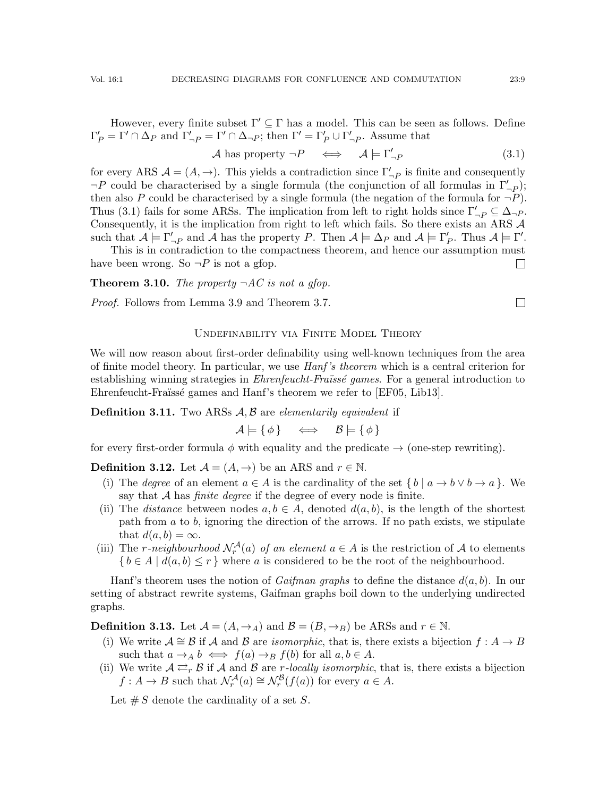However, every finite subset  $\Gamma' \subseteq \Gamma$  has a model. This can be seen as follows. Define  $\Gamma'_P = \Gamma' \cap \Delta_P$  and  $\Gamma'_{\neg P} = \Gamma' \cap \Delta_{\neg P}$ ; then  $\Gamma' = \Gamma'_P \cup \Gamma'_{\neg P}$ . Assume that

$$
\mathcal{A} \text{ has property } \neg P \quad \Longleftrightarrow \quad \mathcal{A} \models \Gamma'_{\neg P} \tag{3.1}
$$

for every ARS  $\mathcal{A} = (A, \rightarrow)$ . This yields a contradiction since  $\Gamma'_{\neg P}$  is finite and consequently  $\neg P$  could be characterised by a single formula (the conjunction of all formulas in  $\Gamma'_{\neg P}$ ); then also P could be characterised by a single formula (the negation of the formula for  $\neg P$ ). Thus [\(3.1\)](#page-8-1) fails for some ARSs. The implication from left to right holds since  $\Gamma'_{\neg P} \subseteq \Delta_{\neg P}$ . Consequently, it is the implication from right to left which fails. So there exists an ARS A such that  $\mathcal{A} \models \Gamma'_{\neg P}$  and  $\mathcal{A}$  has the property P. Then  $\mathcal{A} \models \Delta_P$  and  $\mathcal{A} \models \Gamma'_P$ . Thus  $\mathcal{A} \models \Gamma'$ .

This is in contradiction to the compactness theorem, and hence our assumption must have been wrong. So  $\neg P$  is not a gfop.  $\Box$ 

<span id="page-8-0"></span>**Theorem 3.10.** The property  $\neg AC$  is not a gfop.

Proof. Follows from Lemma [3.9](#page-7-2) and Theorem [3.7.](#page-7-1)

#### Undefinability via Finite Model Theory

We will now reason about first-order definability using well-known techniques from the area of finite model theory. In particular, we use Hanf 's theorem which is a central criterion for establishing winning strategies in  $\mathit{Ehrenfeucht}$ -Fraüssé games. For a general introduction to Ehrenfeucht-Fraüssé games and Hanf's theorem we refer to [\[EF05,](#page-23-12) [Lib13\]](#page-23-11).

**Definition 3.11.** Two ARSs  $A, B$  are elementarily equivalent if

$$
\mathcal{A} \models \{\phi\} \iff \mathcal{B} \models \{\phi\}
$$

for every first-order formula  $\phi$  with equality and the predicate  $\rightarrow$  (one-step rewriting).

**Definition 3.12.** Let  $\mathcal{A} = (A, \rightarrow)$  be an ARS and  $r \in \mathbb{N}$ .

- (i) The *degree* of an element  $a \in A$  is the cardinality of the set  $\{b \mid a \to b \lor b \to a\}$ . We say that  $A$  has *finite degree* if the degree of every node is finite.
- (ii) The *distance* between nodes  $a, b \in A$ , denoted  $d(a, b)$ , is the length of the shortest path from  $a$  to  $b$ , ignoring the direction of the arrows. If no path exists, we stipulate that  $d(a, b) = \infty$ .
- (iii) The r-neighbourhood  $\mathcal{N}_r^{\mathcal{A}}(a)$  of an element  $a \in A$  is the restriction of  $A$  to elements  $\{b \in A \mid d(a, b) \leq r\}$  where a is considered to be the root of the neighbourhood.

Hanf's theorem uses the notion of *Gaifman graphs* to define the distance  $d(a, b)$ . In our setting of abstract rewrite systems, Gaifman graphs boil down to the underlying undirected graphs.

**Definition 3.13.** Let  $\mathcal{A} = (A, \rightarrow_A)$  and  $\mathcal{B} = (B, \rightarrow_B)$  be ARSs and  $r \in \mathbb{N}$ .

- (i) We write  $A \cong \mathcal{B}$  if A and B are *isomorphic*, that is, there exists a bijection  $f : A \to B$ such that  $a \to_A b \iff f(a) \to_B f(b)$  for all  $a, b \in A$ .
- (ii) We write  $A \rightleftarrows_{r} B$  if A and B are *r*-locally isomorphic, that is, there exists a bijection  $f: A \to B$  such that  $\mathcal{N}_r^{\mathcal{A}}(a) \cong \mathcal{N}_r^{\mathcal{B}}(f(a))$  for every  $a \in A$ .

Let  $\# S$  denote the cardinality of a set S.

<span id="page-8-1"></span> $\Box$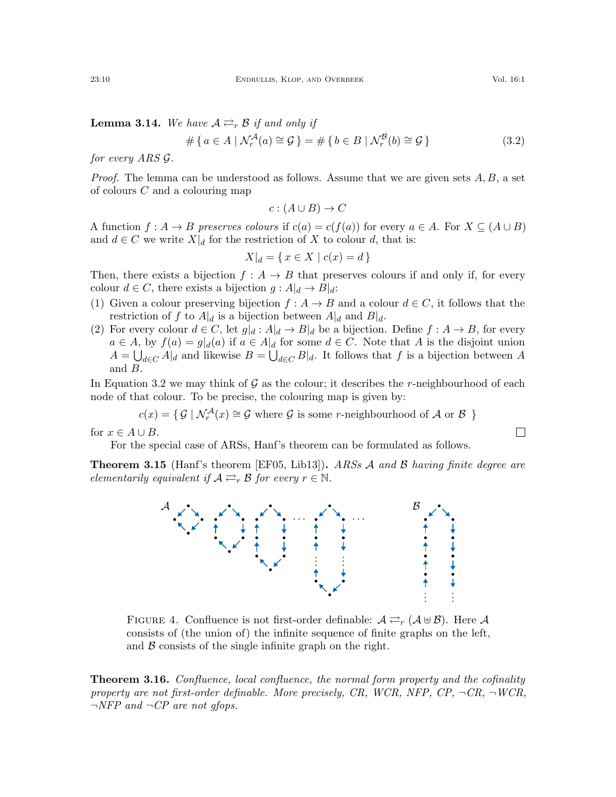<span id="page-9-3"></span>**Lemma 3.14.** We have  $A \rightleftarrows_r B$  if and only if

$$
\#\{a \in A \mid \mathcal{N}_r^{\mathcal{A}}(a) \cong \mathcal{G}\} = \#\{b \in B \mid \mathcal{N}_r^{\mathcal{B}}(b) \cong \mathcal{G}\}\tag{3.2}
$$

for every ARS G.

*Proof.* The lemma can be understood as follows. Assume that we are given sets  $A, B$ , a set of colours C and a colouring map

$$
c: (A \cup B) \to C
$$

A function  $f : A \to B$  preserves colours if  $c(a) = c(f(a))$  for every  $a \in A$ . For  $X \subseteq (A \cup B)$ and  $d \in C$  we write  $X|_d$  for the restriction of X to colour d, that is:

$$
X|_d = \{ x \in X \mid c(x) = d \}
$$

Then, there exists a bijection  $f : A \to B$  that preserves colours if and only if, for every colour  $d \in C$ , there exists a bijection  $g : A|_d \to B|_d$ :

- (1) Given a colour preserving bijection  $f : A \to B$  and a colour  $d \in C$ , it follows that the restriction of f to  $A|_d$  is a bijection between  $A|_d$  and  $B|_d$ .
- (2) For every colour  $d \in C$ , let  $g|_d : A|_d \to B|_d$  be a bijection. Define  $f : A \to B$ , for every  $a \in A$ , by  $f(a) = g|_d(a)$  if  $a \in A|_d$  for some  $d \in C$ . Note that A is the disjoint union  $A = \bigcup_{d \in C} A|_d$  and likewise  $B = \bigcup_{d \in C} B|_d$ . It follows that f is a bijection between A and B.

In Equation [3.2](#page-9-1) we may think of  $\mathcal G$  as the colour; it describes the r-neighbourhood of each node of that colour. To be precise, the colouring map is given by:

$$
c(x) = \{ \mathcal{G} \mid \mathcal{N}_r^{\mathcal{A}}(x) \cong \mathcal{G} \text{ where } \mathcal{G} \text{ is some } r\text{-neighborhood of } \mathcal{A} \text{ or } \mathcal{B} \}
$$

for  $x \in A \cup B$ .

 $\mathcal{A}$ 

For the special case of ARSs, Hanf's theorem can be formulated as follows.

<span id="page-9-4"></span><span id="page-9-2"></span>**Theorem 3.15** (Hanf's theorem [\[EF05,](#page-23-12) [Lib13\]](#page-23-11)). ARSs A and B having finite degree are elementarily equivalent if  $A \rightleftarrows_{r} B$  for every  $r \in \mathbb{N}$ .

· · ·



. . . . . . · · ·

 $\mathcal{B}$ 

<span id="page-9-0"></span>**Theorem 3.16.** Confluence, local confluence, the normal form property and the cofinality property are not first-order definable. More precisely, CR, WCR, NFP, CP,  $\neg CR$ ,  $\neg WR$ ,  $\neg NFP$  and  $\neg CP$  are not gfops.

<span id="page-9-1"></span>

$$
\mathcal{L}^{\mathcal{L}}_{\mathcal{L}}
$$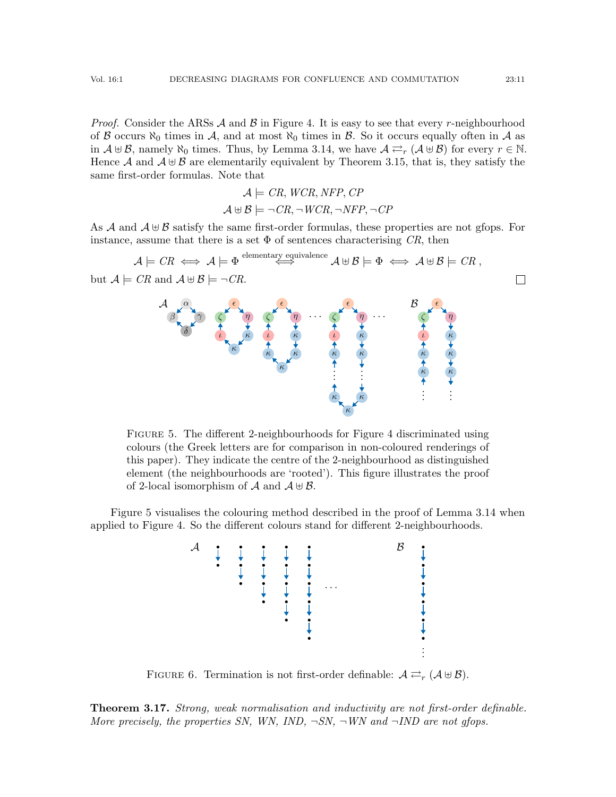*Proof.* Consider the ARSs  $\mathcal A$  and  $\mathcal B$  in Figure [4.](#page-9-2) It is easy to see that every r-neighbourhood of B occurs  $\aleph_0$  times in A, and at most  $\aleph_0$  times in B. So it occurs equally often in A as in  $A \oplus B$ , namely  $\aleph_0$  times. Thus, by Lemma [3.14,](#page-9-3) we have  $A \rightleftarrows_r (A \oplus B)$  for every  $r \in \mathbb{N}$ . Hence A and  $A \oplus B$  are elementarily equivalent by Theorem [3.15,](#page-9-4) that is, they satisfy the same first-order formulas. Note that

$$
\mathcal{A} \models CR, WCR, NFP, CP
$$
  

$$
\mathcal{A} \boxplus \mathcal{B} \models \neg CR, \neg WCR, \neg NFP, \neg CP
$$

As  $\mathcal A$  and  $\mathcal A \oplus \mathcal B$  satisfy the same first-order formulas, these properties are not gfops. For instance, assume that there is a set  $\Phi$  of sentences characterising CR, then

<span id="page-10-1"></span>
$$
\mathcal{A} \models \mathit{CR} \iff \mathcal{A} \models \Phi \stackrel{\text{elementary equivalence}}{\iff} \mathcal{A} \Downarrow \mathcal{B} \models \Phi \iff \mathcal{A} \Downarrow \mathcal{B} \models \mathit{CR},
$$
\nbut 
$$
\mathcal{A} \models \mathit{CR} \text{ and } \mathcal{A} \Downarrow \mathcal{B} \models \neg \mathit{CR}.
$$
\n
$$
\mathcal{A} \downarrow \mathcal{A} \downarrow \mathcal{B} \downarrow \mathcal{B} \downarrow \mathcal{B} \downarrow \mathcal{B} \downarrow \mathcal{B} \downarrow \mathcal{B} \downarrow \mathcal{B} \downarrow \mathcal{B} \downarrow \mathcal{B} \downarrow \mathcal{B} \downarrow \mathcal{B} \downarrow \mathcal{B} \downarrow \mathcal{B} \downarrow \mathcal{B} \downarrow \mathcal{B} \downarrow \mathcal{B} \downarrow \mathcal{B} \downarrow \mathcal{B} \downarrow \mathcal{B} \downarrow \mathcal{B} \downarrow \mathcal{B} \downarrow \mathcal{B} \downarrow \mathcal{B} \downarrow \mathcal{B} \downarrow \mathcal{B} \downarrow \mathcal{B} \downarrow \mathcal{B} \downarrow \mathcal{B} \downarrow \mathcal{B} \downarrow \mathcal{B} \downarrow \mathcal{B} \downarrow \mathcal{B} \downarrow \mathcal{B} \downarrow \mathcal{B} \downarrow \mathcal{B} \downarrow \mathcal{B} \downarrow \mathcal{B} \downarrow \mathcal{B} \downarrow \mathcal{B} \downarrow \mathcal{B} \downarrow \mathcal{B} \downarrow \mathcal{B} \downarrow \mathcal{B} \downarrow \mathcal{B} \downarrow \mathcal{B} \downarrow \mathcal{B} \downarrow \mathcal{B} \downarrow \mathcal{B} \downarrow \mathcal{B} \downarrow \mathcal{B} \downarrow \mathcal{B} \downarrow \mathcal{B} \downarrow \mathcal{B} \downarrow \mathcal{B} \downarrow \mathcal{B} \downarrow \mathcal{B} \downarrow \mathcal{B} \downarrow \mathcal{B} \downarrow \mathcal{B} \downarrow \mathcal{B} \downarrow \mathcal{B} \downarrow \mathcal{B} \downarrow \mathcal{B} \downarrow \mathcal{B} \downarrow \mathcal{B} \downarrow \mathcal{B} \downarrow \math
$$

Figure 5. The different 2-neighbourhoods for Figure [4](#page-9-2) discriminated using colours (the Greek letters are for comparison in non-coloured renderings of this paper). They indicate the centre of the 2-neighbourhood as distinguished element (the neighbourhoods are 'rooted'). This figure illustrates the proof of 2-local isomorphism of  $\mathcal A$  and  $\mathcal A \oplus \mathcal B$ .

<span id="page-10-2"></span>Figure [5](#page-10-1) visualises the colouring method described in the proof of Lemma [3.14](#page-9-3) when applied to Figure [4.](#page-9-2) So the different colours stand for different 2-neighbourhoods.



FIGURE 6. Termination is not first-order definable:  $A \rightleftarrows_r (A \cup B)$ .

<span id="page-10-0"></span>**Theorem 3.17.** Strong, weak normalisation and inductivity are not first-order definable. More precisely, the properties SN, WN, IND,  $\neg SN$ ,  $\neg WN$  and  $\neg IND$  are not gfops.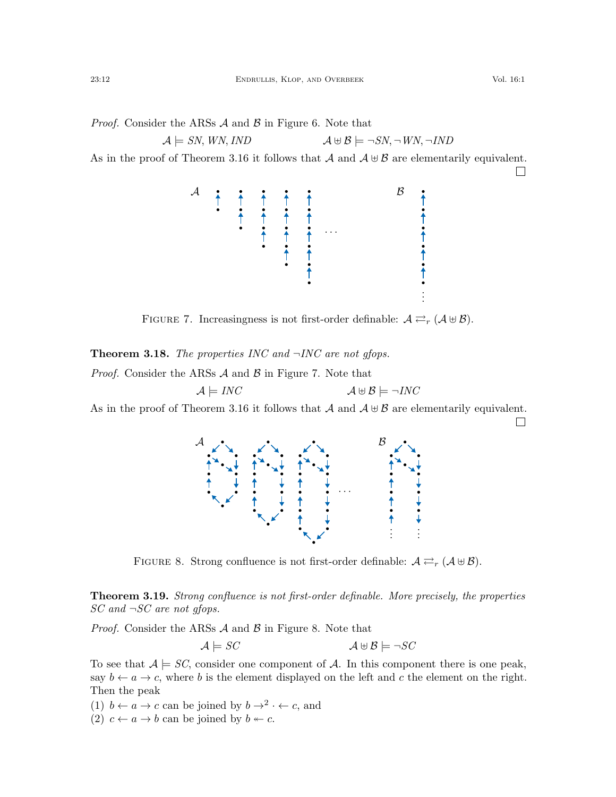$\Box$ 

*Proof.* Consider the ARSs  $\mathcal A$  and  $\mathcal B$  in Figure [6.](#page-10-2) Note that

$$
\mathcal{A} \models SN, \, WN, \, IND \qquad \qquad \mathcal{A} \uplus \mathcal{B} \models \neg SN, \neg \, WN, \neg \, IND
$$

<span id="page-11-2"></span>As in the proof of Theorem [3.16](#page-9-0) it follows that  $\mathcal A$  and  $\mathcal A \oplus \mathcal B$  are elementarily equivalent.



FIGURE 7. Increasingness is not first-order definable:  $A \rightleftarrows_r (A \cup B)$ .

<span id="page-11-1"></span>**Theorem 3.18.** The properties INC and  $\neg INC$  are not gfops.

*Proof.* Consider the ARSs  $\mathcal A$  and  $\mathcal B$  in Figure [7.](#page-11-2) Note that

$$
\mathcal{A} \models \mathit{INC} \qquad \qquad \mathcal{A} \uplus \mathcal{B} \models \neg \mathit{INC}
$$

<span id="page-11-3"></span>As in the proof of Theorem [3.16](#page-9-0) it follows that  $\mathcal A$  and  $\mathcal A \oplus \mathcal B$  are elementarily equivalent.  $\Box$ 

> · · ·  $\mathcal A$ . . . . . .  $\mathcal{B}$

FIGURE 8. Strong confluence is not first-order definable:  $A \rightleftarrows_r (A \cup B)$ .

<span id="page-11-0"></span>**Theorem 3.19.** Strong confluence is not first-order definable. More precisely, the properties  $SC$  and  $\neg SC$  are not gfops.

*Proof.* Consider the ARSs  $\mathcal A$  and  $\mathcal B$  in Figure [8.](#page-11-3) Note that

$$
\mathcal{A} \models SC \qquad \qquad \mathcal{A} \uplus \mathcal{B} \models \neg SC
$$

To see that  $A \models SC$ , consider one component of A. In this component there is one peak, say  $b \leftarrow a \rightarrow c$ , where b is the element displayed on the left and c the element on the right. Then the peak

(1)  $b \leftarrow a \rightarrow c$  can be joined by  $b \rightarrow^2 \cdot \leftarrow c$ , and

(2)  $c \leftarrow a \rightarrow b$  can be joined by  $b \leftarrow c$ .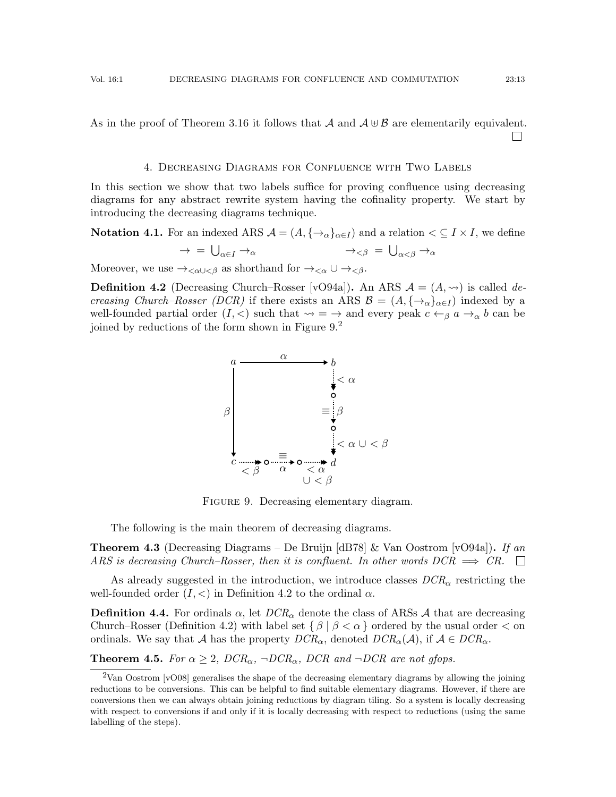4. Decreasing Diagrams for Confluence with Two Labels

<span id="page-12-1"></span>In this section we show that two labels suffice for proving confluence using decreasing diagrams for any abstract rewrite system having the cofinality property. We start by introducing the decreasing diagrams technique.

**Notation 4.1.** For an indexed ARS  $A = (A, \{\rightarrow_{\alpha}\}_{{\alpha}\in I})$  and a relation  $\lt \subseteq I \times I$ , we define  $\rightarrow$  =  $\bigcup_{\alpha \in I} \rightarrow_{\alpha}$   $\rightarrow_{<\beta}$  =  $\bigcup_{\alpha < \beta} \rightarrow_{\alpha}$ 

Moreover, we use  $\rightarrow_{<\alpha\cup<\beta}$  as shorthand for  $\rightarrow_{<\alpha}\cup\rightarrow_{<\beta}$ .

<span id="page-12-5"></span><span id="page-12-3"></span>**Definition 4.2** (Decreasing Church–Rosser [\[vO94a\]](#page-24-2)). An ARS  $\mathcal{A} = (A, \leadsto)$  is called decreasing Church–Rosser (DCR) if there exists an ARS  $\mathcal{B} = (A, \{\rightarrow_{\alpha}\}_{{\alpha \in I}})$  indexed by a well-founded partial order  $(I, \leq)$  such that  $\leadsto = \to$  and every peak  $c \leftarrow_{\beta} a \rightarrow_{\alpha} b$  can be joined by reductions of the form shown in Figure  $9.<sup>2</sup>$  $9.<sup>2</sup>$  $9.<sup>2</sup>$ 



FIGURE 9. Decreasing elementary diagram.

The following is the main theorem of decreasing diagrams.

**Theorem 4.3** (Decreasing Diagrams – De Bruijn [\[dB78\]](#page-23-3) & Van Oostrom [\[vO94a\]](#page-24-2)). If an ARS is decreasing Church–Rosser, then it is confluent. In other words  $DCR \implies CR$ .

As already suggested in the introduction, we introduce classes  $DCR_{\alpha}$  restricting the well-founded order  $(I, \leq)$  in Definition [4.2](#page-12-5) to the ordinal  $\alpha$ .

<span id="page-12-0"></span>**Definition 4.4.** For ordinals  $\alpha$ , let  $DCR_{\alpha}$  denote the class of ARSs A that are decreasing Church–Rosser (Definition [4.2\)](#page-12-5) with label set  $\{\beta \mid \beta < \alpha\}$  ordered by the usual order  $\lt$  on ordinals. We say that A has the property  $DCR_{\alpha}$ , denoted  $DCR_{\alpha}(\mathcal{A})$ , if  $\mathcal{A} \in DCR_{\alpha}$ .

<span id="page-12-2"></span>**Theorem 4.5.** For  $\alpha \geq 2$ ,  $DCR_{\alpha}$ ,  $\neg DCR_{\alpha}$ ,  $DCR$  and  $\neg DCR$  are not gfops.

 $\Box$ 

<span id="page-12-4"></span><sup>&</sup>lt;sup>2</sup>Van Oostrom [\[vO08\]](#page-24-10) generalises the shape of the decreasing elementary diagrams by allowing the joining reductions to be conversions. This can be helpful to find suitable elementary diagrams. However, if there are conversions then we can always obtain joining reductions by diagram tiling. So a system is locally decreasing with respect to conversions if and only if it is locally decreasing with respect to reductions (using the same labelling of the steps).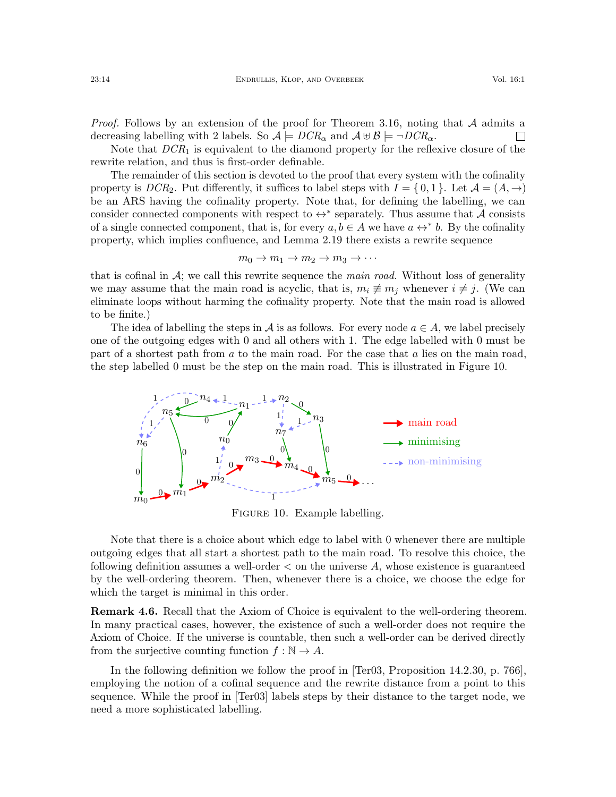*Proof.* Follows by an extension of the proof for Theorem [3.16,](#page-9-0) noting that  $A$  admits a decreasing labelling with 2 labels. So  $\mathcal{A} \models DCR_{\alpha}$  and  $\mathcal{A} \uplus \mathcal{B} \models \neg DCR_{\alpha}$ .  $\overline{\phantom{a}}$ 

Note that  $DCR<sub>1</sub>$  is equivalent to the diamond property for the reflexive closure of the rewrite relation, and thus is first-order definable.

The remainder of this section is devoted to the proof that every system with the cofinality property is  $DCR_2$ . Put differently, it suffices to label steps with  $I = \{0, 1\}$ . Let  $\mathcal{A} = (A, \rightarrow)$ be an ARS having the cofinality property. Note that, for defining the labelling, we can consider connected components with respect to  $\leftrightarrow^*$  separately. Thus assume that A consists of a single connected component, that is, for every  $a, b \in A$  we have  $a \leftrightarrow^* b$ . By the cofinality property, which implies confluence, and Lemma [2.19](#page-4-1) there exists a rewrite sequence

$$
m_0 \to m_1 \to m_2 \to m_3 \to \cdots
$$

that is cofinal in  $A$ ; we call this rewrite sequence the *main road*. Without loss of generality we may assume that the main road is acyclic, that is,  $m_i \neq m_j$  whenever  $i \neq j$ . (We can eliminate loops without harming the cofinality property. Note that the main road is allowed to be finite.)

The idea of labelling the steps in A is as follows. For every node  $a \in A$ , we label precisely one of the outgoing edges with 0 and all others with 1. The edge labelled with 0 must be part of a shortest path from a to the main road. For the case that a lies on the main road, the step labelled 0 must be the step on the main road. This is illustrated in Figure [10.](#page-13-0)

<span id="page-13-0"></span>

Figure 10. Example labelling.

Note that there is a choice about which edge to label with 0 whenever there are multiple outgoing edges that all start a shortest path to the main road. To resolve this choice, the following definition assumes a well-order  $\lt$  on the universe A, whose existence is guaranteed by the well-ordering theorem. Then, whenever there is a choice, we choose the edge for which the target is minimal in this order.

Remark 4.6. Recall that the Axiom of Choice is equivalent to the well-ordering theorem. In many practical cases, however, the existence of such a well-order does not require the Axiom of Choice. If the universe is countable, then such a well-order can be derived directly from the surjective counting function  $f : \mathbb{N} \to A$ .

In the following definition we follow the proof in [\[Ter03,](#page-24-3) Proposition 14.2.30, p. 766], employing the notion of a cofinal sequence and the rewrite distance from a point to this sequence. While the proof in [\[Ter03\]](#page-24-3) labels steps by their distance to the target node, we need a more sophisticated labelling.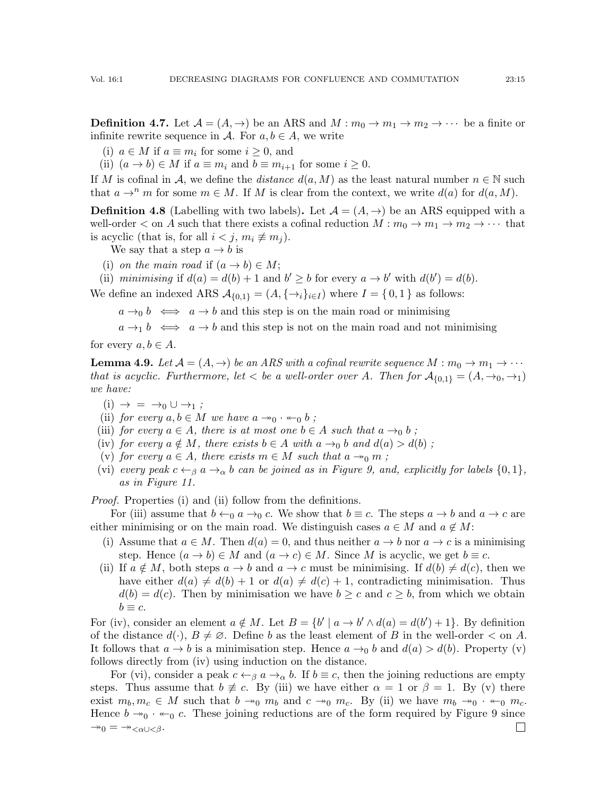**Definition 4.7.** Let  $\mathcal{A} = (A, \rightarrow)$  be an ARS and  $M : m_0 \rightarrow m_1 \rightarrow m_2 \rightarrow \cdots$  be a finite or infinite rewrite sequence in A. For  $a, b \in A$ , we write

(i)  $a \in M$  if  $a \equiv m_i$  for some  $i \geq 0$ , and

(ii)  $(a \rightarrow b) \in M$  if  $a \equiv m_i$  and  $b \equiv m_{i+1}$  for some  $i \geq 0$ .

If M is cofinal in A, we define the *distance*  $d(a, M)$  as the least natural number  $n \in \mathbb{N}$  such that  $a \to^n m$  for some  $m \in M$ . If M is clear from the context, we write  $d(a)$  for  $d(a, M)$ .

**Definition 4.8** (Labelling with two labels). Let  $\mathcal{A} = (A, \rightarrow)$  be an ARS equipped with a well-order  $\lt$  on A such that there exists a cofinal reduction  $M : m_0 \to m_1 \to m_2 \to \cdots$  that is acyclic (that is, for all  $i < j$ ,  $m_i \not\equiv m_j$ ).

We say that a step  $a \rightarrow b$  is

(i) on the main road if  $(a \rightarrow b) \in M$ ;

(ii) minimising if  $d(a) = d(b) + 1$  and  $b' \geq b$  for every  $a \to b'$  with  $d(b') = d(b)$ .

We define an indexed ARS  $\mathcal{A}_{\{0,1\}} = (A, \{\rightarrow_i\}_{i \in I})$  where  $I = \{0,1\}$  as follows:

 $a \rightarrow_0 b \iff a \rightarrow b$  and this step is on the main road or minimising

 $a \rightarrow b \iff a \rightarrow b$  and this step is not on the main road and not minimising

for every  $a, b \in A$ .

<span id="page-14-6"></span>**Lemma 4.9.** Let  $\mathcal{A} = (A, \rightarrow)$  be an ARS with a cofinal rewrite sequence  $M : m_0 \rightarrow m_1 \rightarrow \cdots$ that is acyclic. Furthermore, let  $\langle$  be a well-order over A. Then for  $A_{\{0,1\}} = (A, \rightarrow_0, \rightarrow_1)$ we have:

<span id="page-14-0"></span>
$$
(i) \rightarrow \ = \rightarrow_0 \cup \rightarrow_1 ;
$$

- <span id="page-14-1"></span>(ii) for every  $a, b \in M$  we have  $a \rightarrow 0 \cdot \leftarrow 0 b$ ;
- <span id="page-14-2"></span>(iii) for every  $a \in A$ , there is at most one  $b \in A$  such that  $a \rightarrow_0 b$ ;
- <span id="page-14-3"></span>(iv) for every  $a \notin M$ , there exists  $b \in A$  with  $a \rightarrow_0 b$  and  $d(a) > d(b)$ ;
- <span id="page-14-4"></span>(v) for every  $a \in A$ , there exists  $m \in M$  such that  $a \rightarrow_0 m$ ;
- <span id="page-14-5"></span>(vi) every peak  $c \leftarrow_\beta a \rightarrow_\alpha b$  can be joined as in Figure [9,](#page-12-3) and, explicitly for labels  $\{0,1\}$ , as in Figure [11.](#page-15-0)

Proof. Properties [\(i\)](#page-14-0) and [\(ii\)](#page-14-1) follow from the definitions.

For [\(iii\)](#page-14-2) assume that  $b \leftarrow_0 a \rightarrow_0 c$ . We show that  $b \equiv c$ . The steps  $a \rightarrow b$  and  $a \rightarrow c$  are either minimising or on the main road. We distinguish cases  $a \in M$  and  $a \notin M$ :

- (i) Assume that  $a \in M$ . Then  $d(a) = 0$ , and thus neither  $a \to b$  nor  $a \to c$  is a minimising step. Hence  $(a \to b) \in M$  and  $(a \to c) \in M$ . Since M is acyclic, we get  $b \equiv c$ .
- (ii) If  $a \notin M$ , both steps  $a \to b$  and  $a \to c$  must be minimising. If  $d(b) \neq d(c)$ , then we have either  $d(a) \neq d(b) + 1$  or  $d(a) \neq d(c) + 1$ , contradicting minimisation. Thus  $d(b) = d(c)$ . Then by minimisation we have  $b \geq c$  and  $c \geq b$ , from which we obtain  $b \equiv c$ .

For [\(iv\),](#page-14-3) consider an element  $a \notin M$ . Let  $B = \{b' \mid a \to b' \land d(a) = d(b') + 1\}$ . By definition of the distance  $d(\cdot)$ ,  $B \neq \emptyset$ . Define b as the least element of B in the well-order  $\lt$  on A. It follows that  $a \to b$  is a minimisation step. Hence  $a \to 0$  b and  $d(a) > d(b)$ . Property [\(v\)](#page-14-4) follows directly from [\(iv\)](#page-14-3) using induction on the distance.

For [\(vi\),](#page-14-5) consider a peak  $c \leftarrow_{\beta} a \rightarrow_{\alpha} b$ . If  $b \equiv c$ , then the joining reductions are empty steps. Thus assume that  $b \neq c$ . By [\(iii\)](#page-14-2) we have either  $\alpha = 1$  or  $\beta = 1$ . By [\(v\)](#page-14-4) there exist  $m_b, m_c \in M$  such that  $b \to_0 m_b$  and  $c \to_0 m_c$ . By [\(ii\)](#page-14-1) we have  $m_b \to_0 \cdot \cdot \cdot m_c$ . Hence  $b \rightarrow 0 \cdot \leftarrow 0$  c. These joining reductions are of the form required by Figure [9](#page-12-3) since  $\rightarrow 0 = \rightarrow <\alpha \cup <\beta$ .  $\Box$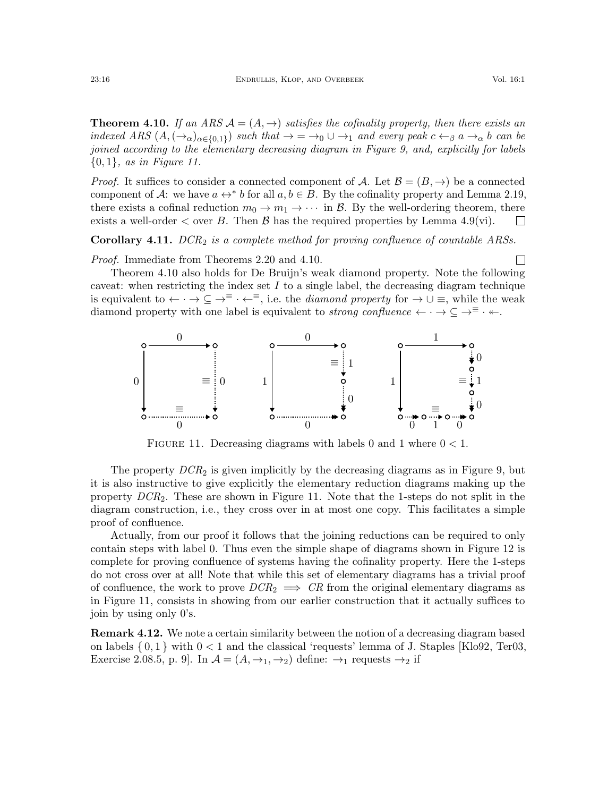<span id="page-15-1"></span>**Theorem 4.10.** If an ARS  $\mathcal{A} = (A, \rightarrow)$  satisfies the cofinality property, then there exists an indexed ARS  $(A, (\rightarrow_{\alpha})_{\alpha\in\{0,1\}})$  such that  $\rightarrow = \rightarrow_{0} \cup \rightarrow_{1}$  and every peak  $c \leftarrow_{\beta} a \rightarrow_{\alpha} b$  can be joined according to the elementary decreasing diagram in Figure [9,](#page-12-3) and, explicitly for labels  ${0, 1}$ , as in Figure [11.](#page-15-0)

*Proof.* It suffices to consider a connected component of A. Let  $\mathcal{B} = (B, \rightarrow)$  be a connected component of A: we have  $a \leftrightarrow^* b$  for all  $a, b \in B$ . By the cofinality property and Lemma [2.19,](#page-4-1) there exists a cofinal reduction  $m_0 \to m_1 \to \cdots$  in B. By the well-ordering theorem, there exists a well-order  $\lt$  over B. Then B has the required properties by Lemma [4.9](#page-14-6)[\(vi\).](#page-14-5)  $\Box$ 

**Corollary 4.11.**  $DCR<sub>2</sub>$  is a complete method for proving confluence of countable ARSs.

Proof. Immediate from Theorems [2.20](#page-4-2) and [4.10.](#page-15-1)

Theorem [4.10](#page-15-1) also holds for De Bruijn's weak diamond property. Note the following caveat: when restricting the index set  $I$  to a single label, the decreasing diagram technique is equivalent to  $\leftarrow \cdot \rightarrow \subseteq \rightarrow^{\equiv} \cdot \leftarrow^{\equiv}$ , i.e. the *diamond property* for  $\rightarrow \cup \equiv$ , while the weak diamond property with one label is equivalent to *strong confluence*  $\leftarrow \cdot \rightarrow \subseteq \rightarrow^{\equiv} \cdot \leftarrow$ .

<span id="page-15-0"></span>

FIGURE 11. Decreasing diagrams with labels 0 and 1 where  $0 < 1$ .

The property  $DCR<sub>2</sub>$  is given implicitly by the decreasing diagrams as in Figure [9,](#page-12-3) but it is also instructive to give explicitly the elementary reduction diagrams making up the property DCR2. These are shown in Figure [11.](#page-15-0) Note that the 1-steps do not split in the diagram construction, i.e., they cross over in at most one copy. This facilitates a simple proof of confluence.

Actually, from our proof it follows that the joining reductions can be required to only contain steps with label 0. Thus even the simple shape of diagrams shown in Figure [12](#page-16-1) is complete for proving confluence of systems having the cofinality property. Here the 1-steps do not cross over at all! Note that while this set of elementary diagrams has a trivial proof of confluence, the work to prove  $DCR_2 \implies CR$  from the original elementary diagrams as in Figure [11,](#page-15-0) consists in showing from our earlier construction that it actually suffices to join by using only 0's.

Remark 4.12. We note a certain similarity between the notion of a decreasing diagram based on labels  $\{0,1\}$  with  $0 < 1$  and the classical 'requests' lemma of J. Staples [\[Klo92,](#page-23-13) [Ter03,](#page-24-3) Exercise 2.08.5, p. 9]. In  $\mathcal{A} = (A, \rightarrow_1, \rightarrow_2)$  define:  $\rightarrow_1$  requests  $\rightarrow_2$  if

 $\Box$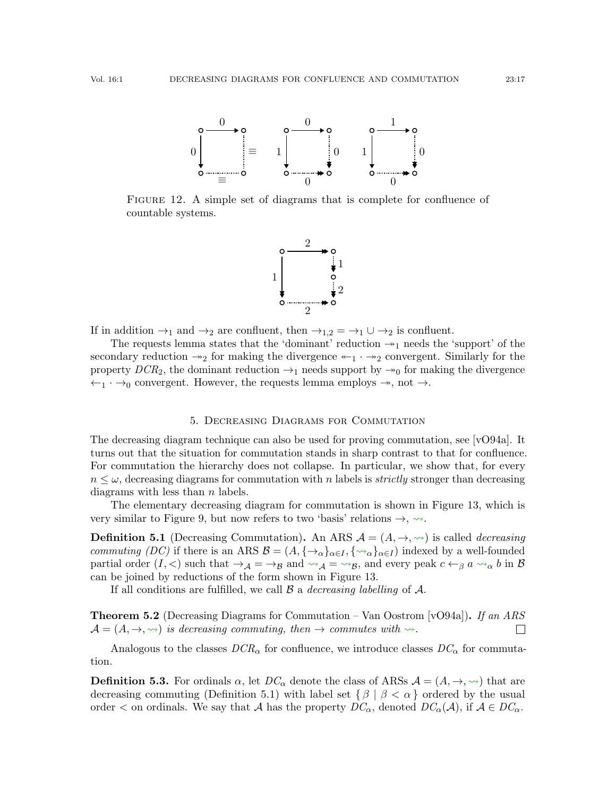<span id="page-16-1"></span>

FIGURE 12. A simple set of diagrams that is complete for confluence of countable systems.



If in addition  $\rightarrow_1$  and  $\rightarrow_2$  are confluent, then  $\rightarrow_{1,2} = \rightarrow_1 \cup \rightarrow_2$  is confluent.

The requests lemma states that the 'dominant' reduction  $\rightarrow_{1}$  needs the 'support' of the secondary reduction  $\rightarrow_2$  for making the divergence  $\leftarrow_1 \cdot \rightarrow_2$  convergent. Similarly for the property  $DCR_2$ , the dominant reduction  $\rightarrow_1$  needs support by  $\rightarrow_0$  for making the divergence  $\leftarrow_1 \cdot \rightarrow_0$  convergent. However, the requests lemma employs  $\rightarrow$ , not  $\rightarrow$ .

## 5. Decreasing Diagrams for Commutation

<span id="page-16-0"></span>The decreasing diagram technique can also be used for proving commutation, see [\[vO94a\]](#page-24-2). It turns out that the situation for commutation stands in sharp contrast to that for confluence. For commutation the hierarchy does not collapse. In particular, we show that, for every  $n \leq \omega$ , decreasing diagrams for commutation with n labels is *strictly* stronger than decreasing diagrams with less than  $n$  labels.

The elementary decreasing diagram for commutation is shown in Figure [13,](#page-17-0) which is very similar to Figure [9,](#page-12-3) but now refers to two 'basis' relations  $\rightarrow$ ,  $\rightsquigarrow$ .

<span id="page-16-2"></span>**Definition 5.1** (Decreasing Commutation). An ARS  $\mathcal{A} = (A, \rightarrow, \rightsquigarrow)$  is called *decreasing* commuting (DC) if there is an ARS  $\mathcal{B} = (A, \{\rightarrow_{\alpha}\}_{{\alpha}\in I}, \{\rightarrow_{\alpha}\}_{{\alpha}\in I})$  indexed by a well-founded partial order  $(I, <)$  such that  $\rightarrow_A = \rightarrow_B$  and  $\rightarrow_A = \rightarrow_B$ , and every peak  $c \leftarrow_\beta a \rightarrow_\alpha b$  in  $\beta$ can be joined by reductions of the form shown in Figure [13.](#page-17-0)

If all conditions are fulfilled, we call  $\beta$  a *decreasing labelling* of  $\mathcal{A}$ .

**Theorem 5.2** (Decreasing Diagrams for Commutation – Van Oostrom [\[vO94a\]](#page-24-2)). If an ARS  $\mathcal{A} = (A, \rightarrow, \rightsquigarrow)$  is decreasing commuting, then  $\rightarrow$  commutes with  $\rightsquigarrow$ .

Analogous to the classes  $DCR_{\alpha}$  for confluence, we introduce classes  $DC_{\alpha}$  for commutation.

<span id="page-16-3"></span>**Definition 5.3.** For ordinals  $\alpha$ , let  $DC_{\alpha}$  denote the class of ARSs  $\mathcal{A} = (A, \rightarrow, \rightsquigarrow)$  that are decreasing commuting (Definition [5.1\)](#page-16-2) with label set  $\{\beta \mid \beta < \alpha\}$  ordered by the usual order  $\lt$  on ordinals. We say that A has the property  $DC_{\alpha}$ , denoted  $DC_{\alpha}(A)$ , if  $A \in DC_{\alpha}$ .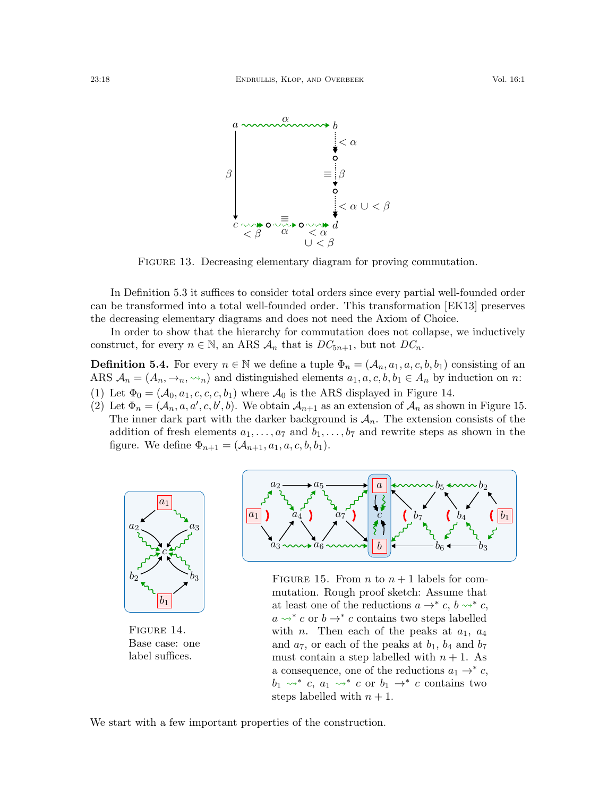<span id="page-17-0"></span>

FIGURE 13. Decreasing elementary diagram for proving commutation.

In Definition [5.3](#page-16-3) it suffices to consider total orders since every partial well-founded order can be transformed into a total well-founded order. This transformation [\[EK13\]](#page-23-4) preserves the decreasing elementary diagrams and does not need the Axiom of Choice.

In order to show that the hierarchy for commutation does not collapse, we inductively construct, for every  $n \in \mathbb{N}$ , an ARS  $A_n$  that is  $DC_{5n+1}$ , but not  $DC_n$ .

**Definition 5.4.** For every  $n \in \mathbb{N}$  we define a tuple  $\Phi_n = (\mathcal{A}_n, a_1, a, c, b, b_1)$  consisting of an ARS  $A_n = (A_n, \rightarrow_n, \rightsquigarrow_n)$  and distinguished elements  $a_1, a, c, b, b_1 \in A_n$  by induction on n: (1) Let  $\Phi_0 = (A_0, a_1, c, c, c, b_1)$  where  $A_0$  is the ARS displayed in Figure [14.](#page-17-1)

(2) Let  $\Phi_n = (A_n, a, a', c, b', b)$ . We obtain  $A_{n+1}$  as an extension of  $A_n$  as shown in Figure [15.](#page-17-1) The inner dark part with the darker background is  $A_n$ . The extension consists of the addition of fresh elements  $a_1, \ldots, a_7$  and  $b_1, \ldots, b_7$  and rewrite steps as shown in the figure. We define  $\Phi_{n+1} = (A_{n+1}, a_1, a, c, b, b_1)$ .

<span id="page-17-1"></span>

Figure 14. Base case: one label suffices.



FIGURE 15. From *n* to  $n + 1$  labels for commutation. Rough proof sketch: Assume that at least one of the reductions  $a \rightarrow^* c, b \rightsquigarrow^* c$ ,  $a \leadsto^* c$  or  $b \to^* c$  contains two steps labelled with *n*. Then each of the peaks at  $a_1$ ,  $a_4$ and  $a_7$ , or each of the peaks at  $b_1$ ,  $b_4$  and  $b_7$ must contain a step labelled with  $n + 1$ . As a consequence, one of the reductions  $a_1 \rightarrow^* c$ ,  $b_1 \leadsto^* c, a_1 \leadsto^* c \text{ or } b_1 \to^* c \text{ contains two}$ steps labelled with  $n + 1$ .

We start with a few important properties of the construction.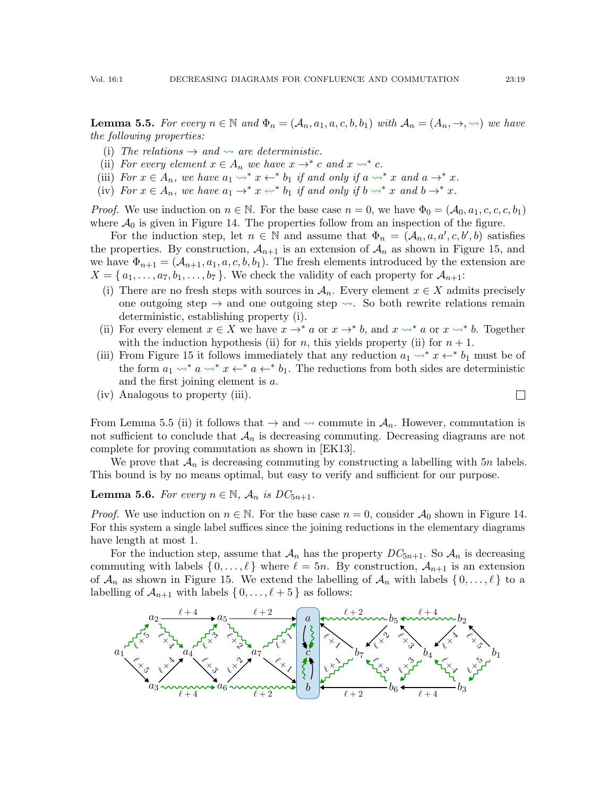<span id="page-18-3"></span>**Lemma 5.5.** For every  $n \in \mathbb{N}$  and  $\Phi_n = (\mathcal{A}_n, a_1, a, c, b, b_1)$  with  $\mathcal{A}_n = (A_n, \rightarrow, \rightsquigarrow)$  we have the following properties:

- <span id="page-18-0"></span>(i) The relations  $\rightarrow$  and  $\rightarrow$  are deterministic.
- <span id="page-18-1"></span>(ii) For every element  $x \in A_n$  we have  $x \to^* c$  and  $x \to^* c$ .
- <span id="page-18-2"></span>(iii) For  $x \in A_n$ , we have  $a_1 \leadsto^* x \leftarrow^* b_1$  if and only if  $a \leadsto^* x$  and  $a \rightarrow^* x$ .
- <span id="page-18-4"></span>(iv) For  $x \in A_n$ , we have  $a_1 \to^* x \leftrightarrow^* b_1$  if and only if  $b \to^* x$  and  $b \to^* x$ .

*Proof.* We use induction on  $n \in \mathbb{N}$ . For the base case  $n = 0$ , we have  $\Phi_0 = (A_0, a_1, c, c, b_1)$ where  $\mathcal{A}_0$  is given in Figure [14.](#page-17-1) The properties follow from an inspection of the figure.

For the induction step, let  $n \in \mathbb{N}$  and assume that  $\Phi_n = (\mathcal{A}_n, a, a', c, b', b)$  satisfies the properties. By construction,  $A_{n+1}$  is an extension of  $A_n$  as shown in Figure [15,](#page-17-1) and we have  $\Phi_{n+1} = (A_{n+1}, a_1, a, c, b, b_1)$ . The fresh elements introduced by the extension are  $X = \{a_1, \ldots, a_7, b_1, \ldots, b_7\}$ . We check the validity of each property for  $\mathcal{A}_{n+1}$ :

- (i) There are no fresh steps with sources in  $A_n$ . Every element  $x \in X$  admits precisely one outgoing step  $\rightarrow$  and one outgoing step  $\rightsquigarrow$ . So both rewrite relations remain deterministic, establishing property [\(i\).](#page-18-0)
- (ii) For every element  $x \in X$  we have  $x \to^* a$  or  $x \to^* b$ , and  $x \leadsto^* a$  or  $x \leadsto^* b$ . Together with the induction hypothesis [\(ii\)](#page-18-1) for n, this yields property (ii) for  $n + 1$ .
- (iii) From Figure [15](#page-17-1) it follows immediately that any reduction  $a_1 \rightarrow^* x \leftarrow^* b_1$  must be of the form  $a_1 \leadsto^* a \leadsto^* x \leftarrow^* a \leftarrow^* b_1$ . The reductions from both sides are deterministic and the first joining element is a.
- (iv) Analogous to property [\(iii\).](#page-18-2)

From Lemma [5.5](#page-18-3) [\(ii\)](#page-18-1) it follows that  $\rightarrow$  and  $\sim$  commute in  $\mathcal{A}_n$ . However, commutation is not sufficient to conclude that  $A_n$  is decreasing commuting. Decreasing diagrams are not complete for proving commutation as shown in [\[EK13\]](#page-23-4).

We prove that  $A_n$  is decreasing commuting by constructing a labelling with  $5n$  labels. This bound is by no means optimal, but easy to verify and sufficient for our purpose.

<span id="page-18-5"></span>**Lemma 5.6.** For every  $n \in \mathbb{N}$ ,  $\mathcal{A}_n$  is  $DC_{5n+1}$ .

*Proof.* We use induction on  $n \in \mathbb{N}$ . For the base case  $n = 0$ , consider  $\mathcal{A}_0$  shown in Figure [14.](#page-17-1) For this system a single label suffices since the joining reductions in the elementary diagrams have length at most 1.

For the induction step, assume that  $\mathcal{A}_n$  has the property  $DC_{5n+1}$ . So  $\mathcal{A}_n$  is decreasing commuting with labels  $\{0,\ldots,\ell\}$  where  $\ell = 5n$ . By construction,  $\mathcal{A}_{n+1}$  is an extension of  $\mathcal{A}_n$  as shown in Figure [15.](#page-17-1) We extend the labelling of  $\mathcal{A}_n$  with labels  $\{0,\ldots,\ell\}$  to a labelling of  $\mathcal{A}_{n+1}$  with labels  $\{0, \ldots, \ell + 5\}$  as follows:



 $\Box$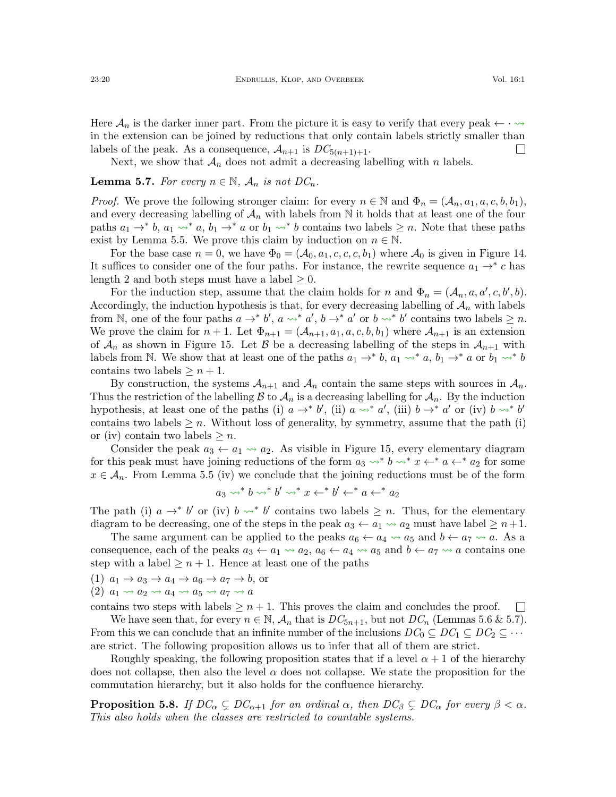Here  $\mathcal{A}_n$  is the darker inner part. From the picture it is easy to verify that every peak  $\leftarrow \cdot \rightsquigarrow$ in the extension can be joined by reductions that only contain labels strictly smaller than labels of the peak. As a consequence,  $\mathcal{A}_{n+1}$  is  $DC_{5(n+1)+1}$ .  $\Box$ 

Next, we show that  $A_n$  does not admit a decreasing labelling with n labels.

## <span id="page-19-0"></span>**Lemma 5.7.** For every  $n \in \mathbb{N}$ ,  $\mathcal{A}_n$  is not  $DC_n$ .

*Proof.* We prove the following stronger claim: for every  $n \in \mathbb{N}$  and  $\Phi_n = (\mathcal{A}_n, a_1, a, c, b, b_1)$ , and every decreasing labelling of  $\mathcal{A}_n$  with labels from N it holds that at least one of the four paths  $a_1 \rightarrow^* b$ ,  $a_1 \rightsquigarrow^* a$ ,  $b_1 \rightarrow^* a$  or  $b_1 \rightsquigarrow^* b$  contains two labels  $\geq n$ . Note that these paths exist by Lemma [5.5.](#page-18-3) We prove this claim by induction on  $n \in \mathbb{N}$ .

For the base case  $n = 0$ , we have  $\Phi_0 = (A_0, a_1, c, c, c, b_1)$  where  $A_0$  is given in Figure [14.](#page-17-1) It suffices to consider one of the four paths. For instance, the rewrite sequence  $a_1 \rightarrow^* c$  has length 2 and both steps must have a label  $\geq 0$ .

For the induction step, assume that the claim holds for n and  $\Phi_n = (A_n, a, a', c, b', b)$ . Accordingly, the induction hypothesis is that, for every decreasing labelling of  $\mathcal{A}_n$  with labels from N, one of the four paths  $a \to b'$ ,  $a \leadsto^* a'$ ,  $b \to^* a'$  or  $b \leadsto^* b'$  contains two labels  $\geq n$ . We prove the claim for  $n+1$ . Let  $\Phi_{n+1} = (A_{n+1}, a_1, a, c, b, b_1)$  where  $A_{n+1}$  is an extension of  $\mathcal{A}_n$  as shown in Figure [15.](#page-17-1) Let  $\mathcal{B}$  be a decreasing labelling of the steps in  $\mathcal{A}_{n+1}$  with labels from N. We show that at least one of the paths  $a_1 \rightarrow^* b$ ,  $a_1 \rightsquigarrow^* a$ ,  $b_1 \rightarrow^* a$  or  $b_1 \rightsquigarrow^* b$ contains two labels  $\geq n+1$ .

By construction, the systems  $A_{n+1}$  and  $A_n$  contain the same steps with sources in  $A_n$ . Thus the restriction of the labelling  $\mathcal B$  to  $\mathcal A_n$  is a decreasing labelling for  $\mathcal A_n$ . By the induction hypothesis, at least one of the paths (i)  $a \rightarrow^* b'$ , (ii)  $a \rightsquigarrow^* a'$ , (iii)  $b \rightarrow^* a'$  or (iv)  $b \rightsquigarrow^* b'$ contains two labels  $\geq n$ . Without loss of generality, by symmetry, assume that the path (i) or (iv) contain two labels  $\geq n$ .

Consider the peak  $a_3 \leftarrow a_1 \rightsquigarrow a_2$ . As visible in Figure [15,](#page-17-1) every elementary diagram for this peak must have joining reductions of the form  $a_3 \leadsto^* b \leadsto^* x \leftarrow^* a \leftarrow^* a_2$  for some  $x \in A_n$ . From Lemma [5.5](#page-18-3) [\(iv\)](#page-18-4) we conclude that the joining reductions must be of the form

$$
a_3 \leadsto^* b \leadsto^* b' \leadsto^* x \leftarrow^* b' \leftarrow^* a \leftarrow^* a_2
$$

The path (i)  $a \rightarrow^* b'$  or (iv)  $b \rightarrow^* b'$  contains two labels  $\geq n$ . Thus, for the elementary diagram to be decreasing, one of the steps in the peak  $a_3 \leftarrow a_1 \rightsquigarrow a_2$  must have label  $\geq n+1$ .

The same argument can be applied to the peaks  $a_6 \leftarrow a_4 \rightsquigarrow a_5$  and  $b \leftarrow a_7 \rightsquigarrow a$ . As a consequence, each of the peaks  $a_3 \leftarrow a_1 \rightsquigarrow a_2$ ,  $a_6 \leftarrow a_4 \rightsquigarrow a_5$  and  $b \leftarrow a_7 \rightsquigarrow a$  contains one step with a label  $\geq n+1$ . Hence at least one of the paths

- (1)  $a_1 \rightarrow a_3 \rightarrow a_4 \rightarrow a_6 \rightarrow a_7 \rightarrow b$ , or
- $(2)$   $a_1 \rightsquigarrow a_2 \rightsquigarrow a_4 \rightsquigarrow a_5 \rightsquigarrow a_7 \rightsquigarrow a_8$

contains two steps with labels  $\geq n+1$ . This proves the claim and concludes the proof.  $\Box$ 

We have seen that, for every  $n \in \mathbb{N}$ ,  $\mathcal{A}_n$  that is  $DC_{5n+1}$ , but not  $DC_n$  (Lemmas [5.6](#page-18-5) & [5.7\)](#page-19-0). From this we can conclude that an infinite number of the inclusions  $DC_0 \subseteq DC_1 \subseteq DC_2 \subseteq \cdots$ are strict. The following proposition allows us to infer that all of them are strict.

Roughly speaking, the following proposition states that if a level  $\alpha + 1$  of the hierarchy does not collapse, then also the level  $\alpha$  does not collapse. We state the proposition for the commutation hierarchy, but it also holds for the confluence hierarchy.

<span id="page-19-1"></span>**Proposition 5.8.** If  $DC_{\alpha} \subsetneq DC_{\alpha+1}$  for an ordinal  $\alpha$ , then  $DC_{\beta} \subsetneq DC_{\alpha}$  for every  $\beta < \alpha$ . This also holds when the classes are restricted to countable systems.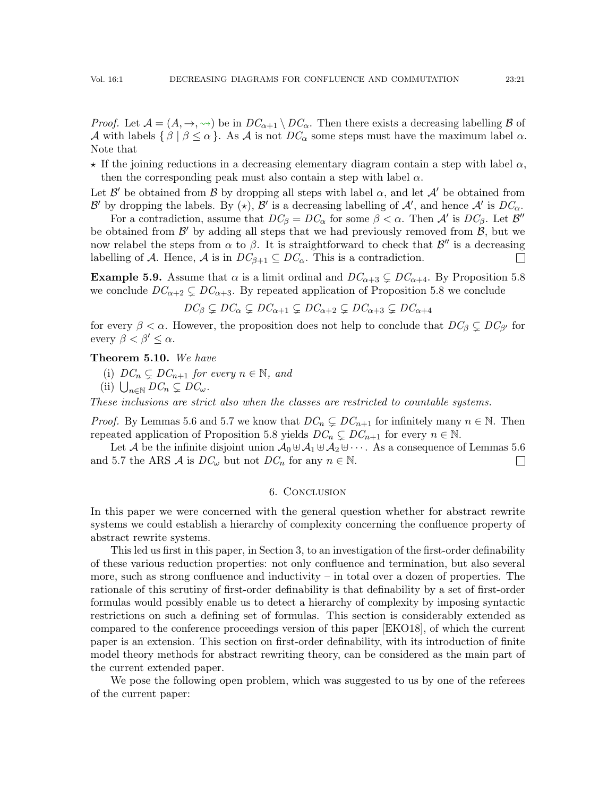*Proof.* Let  $\mathcal{A} = (A, \rightarrow, \rightsquigarrow)$  be in  $DC_{\alpha+1} \setminus DC_{\alpha}$ . Then there exists a decreasing labelling  $\beta$  of A with labels  $\{\beta \mid \beta \leq \alpha\}$ . As A is not  $DC_{\alpha}$  some steps must have the maximum label  $\alpha$ . Note that

 $\star$  If the joining reductions in a decreasing elementary diagram contain a step with label  $\alpha$ , then the corresponding peak must also contain a step with label  $\alpha$ .

Let  $\mathcal{B}'$  be obtained from  $\mathcal{B}$  by dropping all steps with label  $\alpha$ , and let  $\mathcal{A}'$  be obtained from B' by dropping the labels. By ( $\star$ ), B' is a decreasing labelling of A', and hence A' is  $DC_{\alpha}$ .

For a contradiction, assume that  $DC_{\beta} = DC_{\alpha}$  for some  $\beta < \alpha$ . Then A' is  $DC_{\beta}$ . Let  $\mathcal{B}''$ be obtained from  $\mathcal{B}'$  by adding all steps that we had previously removed from  $\mathcal{B}$ , but we now relabel the steps from  $\alpha$  to  $\beta$ . It is straightforward to check that  $\mathcal{B}''$  is a decreasing labelling of A. Hence, A is in  $DC_{\beta+1} \subseteq DC_{\alpha}$ . This is a contradiction.  $\Box$ 

**Example 5.9.** Assume that  $\alpha$  is a limit ordinal and  $DC_{\alpha+3} \subsetneq DC_{\alpha+4}$ . By Proposition [5.8](#page-19-1) we conclude  $DC_{\alpha+2} \subsetneq DC_{\alpha+3}$ . By repeated application of Proposition [5.8](#page-19-1) we conclude

$$
DC_{\beta} \subsetneq DC_{\alpha} \subsetneq DC_{\alpha+1} \subsetneq DC_{\alpha+2} \subsetneq DC_{\alpha+3} \subsetneq DC_{\alpha+4}
$$

for every  $\beta < \alpha$ . However, the proposition does not help to conclude that  $DC_{\beta} \subsetneq DC_{\beta'}$  for every  $\beta < \beta' < \alpha$ .

Theorem 5.10. We have

- (i)  $DC_n \subsetneq DC_{n+1}$  for every  $n \in \mathbb{N}$ , and
- (ii)  $\bigcup_{n\in\mathbb{N}} DC_n \subsetneq DC_\omega$ .

These inclusions are strict also when the classes are restricted to countable systems.

*Proof.* By Lemmas [5.6](#page-18-5) and [5.7](#page-19-0) we know that  $DC_n \subseteq DC_{n+1}$  for infinitely many  $n \in \mathbb{N}$ . Then repeated application of Proposition [5.8](#page-19-1) yields  $DC_n \subsetneq DC_{n+1}$  for every  $n \in \mathbb{N}$ .

Let A be the infinite disjoint union  $A_0 \oplus A_1 \oplus A_2 \oplus \cdots$ . As a consequence of Lemmas [5.6](#page-18-5) and [5.7](#page-19-0) the ARS  $\mathcal A$  is  $DC_{\omega}$  but not  $DC_n$  for any  $n \in \mathbb N$ .  $\Box$ 

#### 6. Conclusion

<span id="page-20-0"></span>In this paper we were concerned with the general question whether for abstract rewrite systems we could establish a hierarchy of complexity concerning the confluence property of abstract rewrite systems.

This led us first in this paper, in Section [3,](#page-4-0) to an investigation of the first-order definability of these various reduction properties: not only confluence and termination, but also several more, such as strong confluence and inductivity – in total over a dozen of properties. The rationale of this scrutiny of first-order definability is that definability by a set of first-order formulas would possibly enable us to detect a hierarchy of complexity by imposing syntactic restrictions on such a defining set of formulas. This section is considerably extended as compared to the conference proceedings version of this paper [\[EKO18\]](#page-23-14), of which the current paper is an extension. This section on first-order definability, with its introduction of finite model theory methods for abstract rewriting theory, can be considered as the main part of the current extended paper.

We pose the following open problem, which was suggested to us by one of the referees of the current paper: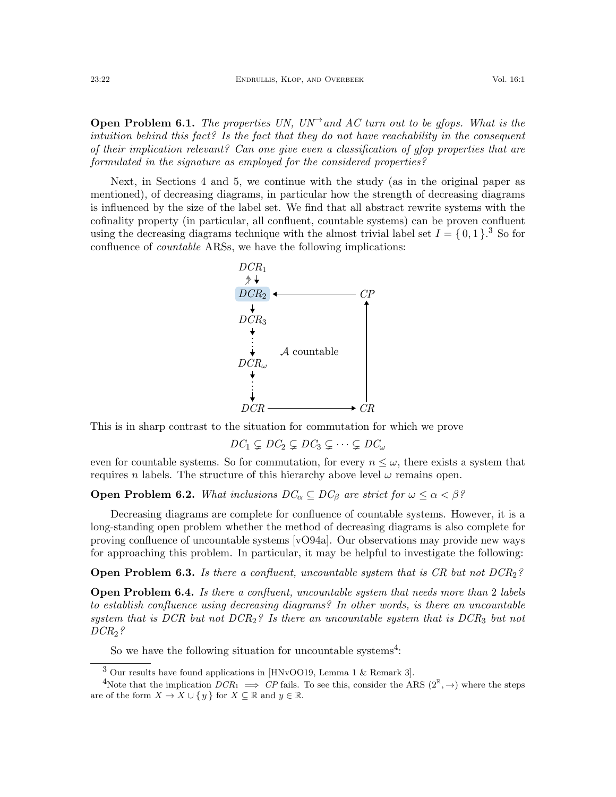**Open Problem 6.1.** The properties UN, UN<sup>→</sup> and AC turn out to be gfops. What is the intuition behind this fact? Is the fact that they do not have reachability in the consequent of their implication relevant? Can one give even a classification of gfop properties that are formulated in the signature as employed for the considered properties?

Next, in Sections [4](#page-12-1) and [5,](#page-16-0) we continue with the study (as in the original paper as mentioned), of decreasing diagrams, in particular how the strength of decreasing diagrams is influenced by the size of the label set. We find that all abstract rewrite systems with the cofinality property (in particular, all confluent, countable systems) can be proven confluent using the decreasing diagrams technique with the almost trivial label set  $I = \{0, 1\}$ .<sup>[3](#page-21-0)</sup> So for confluence of countable ARSs, we have the following implications:



This is in sharp contrast to the situation for commutation for which we prove

$$
DC_1 \subsetneq DC_2 \subsetneq DC_3 \subsetneq \cdots \subsetneq DC_{\omega}
$$

even for countable systems. So for commutation, for every  $n \leq \omega$ , there exists a system that requires n labels. The structure of this hierarchy above level  $\omega$  remains open.

**Open Problem 6.2.** What inclusions  $DC_{\alpha} \subseteq DC_{\beta}$  are strict for  $\omega \leq \alpha < \beta$ ?

Decreasing diagrams are complete for confluence of countable systems. However, it is a long-standing open problem whether the method of decreasing diagrams is also complete for proving confluence of uncountable systems [\[vO94a\]](#page-24-2). Our observations may provide new ways for approaching this problem. In particular, it may be helpful to investigate the following:

**Open Problem 6.3.** Is there a confluent, uncountable system that is CR but not  $DCR_2$ ?

**Open Problem 6.4.** Is there a confluent, uncountable system that needs more than 2 labels to establish confluence using decreasing diagrams? In other words, is there an uncountable system that is DCR but not DCR<sub>2</sub>? Is there an uncountable system that is DCR<sub>3</sub> but not  $DCR_2$ ?

So we have the following situation for uncountable systems<sup>[4](#page-21-1)</sup>:

<span id="page-21-1"></span><span id="page-21-0"></span><sup>3</sup> Our results have found applications in [\[HNvOO19,](#page-23-15) Lemma 1 & Remark 3].

<sup>&</sup>lt;sup>4</sup>Note that the implication  $DCR_1 \implies CP$  fails. To see this, consider the ARS  $(2^{\mathbb{R}}, \rightarrow)$  where the steps are of the form  $X \to X \cup \{y\}$  for  $X \subseteq \mathbb{R}$  and  $y \in \mathbb{R}$ .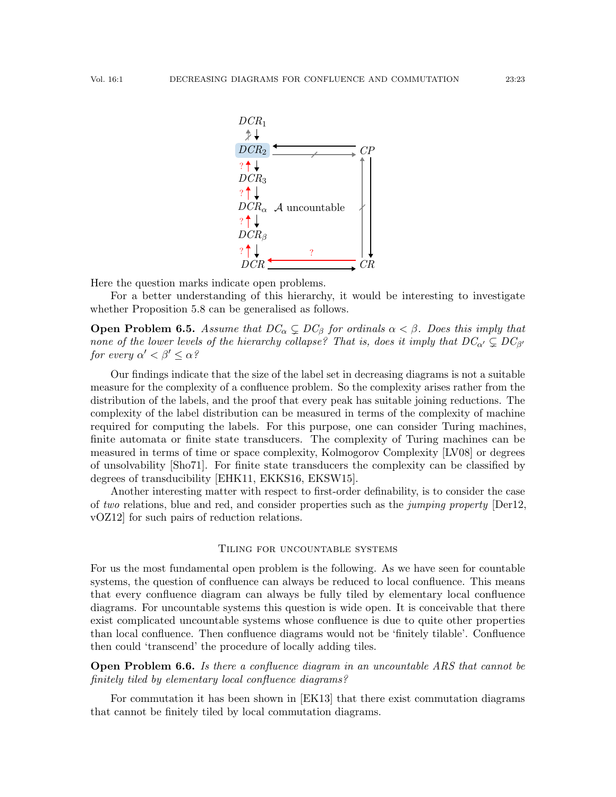

Here the question marks indicate open problems.

For a better understanding of this hierarchy, it would be interesting to investigate whether Proposition [5.8](#page-19-1) can be generalised as follows.

**Open Problem 6.5.** Assume that  $DC_{\alpha} \subsetneq DC_{\beta}$  for ordinals  $\alpha < \beta$ . Does this imply that none of the lower levels of the hierarchy collapse? That is, does it imply that  $DC_{\alpha'} \subsetneq DC_{\beta'}$ for every  $\alpha' < \beta' \leq \alpha$ ?

Our findings indicate that the size of the label set in decreasing diagrams is not a suitable measure for the complexity of a confluence problem. So the complexity arises rather from the distribution of the labels, and the proof that every peak has suitable joining reductions. The complexity of the label distribution can be measured in terms of the complexity of machine required for computing the labels. For this purpose, one can consider Turing machines, finite automata or finite state transducers. The complexity of Turing machines can be measured in terms of time or space complexity, Kolmogorov Complexity [\[LV08\]](#page-24-11) or degrees of unsolvability [\[Sho71\]](#page-24-12). For finite state transducers the complexity can be classified by degrees of transducibility [\[EHK11,](#page-23-16) [EKKS16,](#page-23-17) [EKSW15\]](#page-23-18).

Another interesting matter with respect to first-order definability, is to consider the case of two relations, blue and red, and consider properties such as the jumping property  $[Der12]$ . [vOZ12\]](#page-24-13) for such pairs of reduction relations.

### Tiling for uncountable systems

For us the most fundamental open problem is the following. As we have seen for countable systems, the question of confluence can always be reduced to local confluence. This means that every confluence diagram can always be fully tiled by elementary local confluence diagrams. For uncountable systems this question is wide open. It is conceivable that there exist complicated uncountable systems whose confluence is due to quite other properties than local confluence. Then confluence diagrams would not be 'finitely tilable'. Confluence then could 'transcend' the procedure of locally adding tiles.

**Open Problem 6.6.** Is there a confluence diagram in an uncountable ARS that cannot be finitely tiled by elementary local confluence diagrams?

For commutation it has been shown in [\[EK13\]](#page-23-4) that there exist commutation diagrams that cannot be finitely tiled by local commutation diagrams.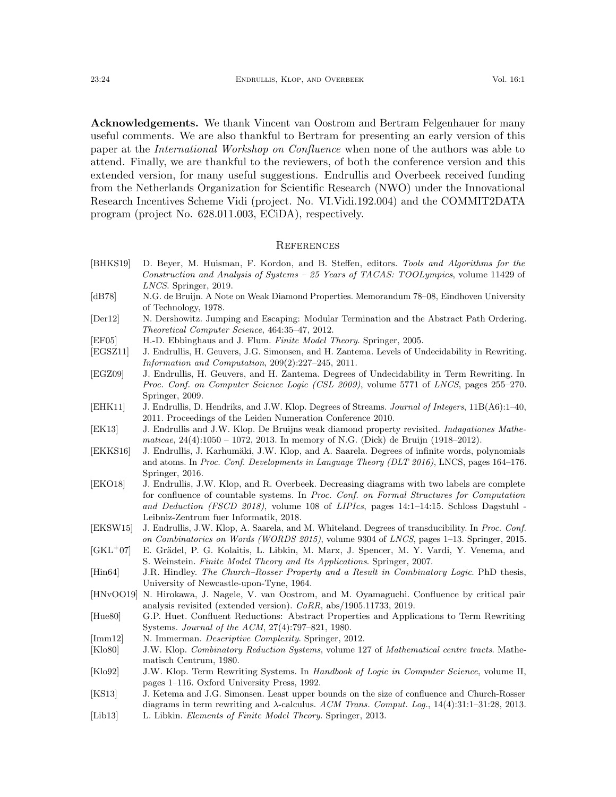Acknowledgements. We thank Vincent van Oostrom and Bertram Felgenhauer for many useful comments. We are also thankful to Bertram for presenting an early version of this paper at the International Workshop on Confluence when none of the authors was able to attend. Finally, we are thankful to the reviewers, of both the conference version and this extended version, for many useful suggestions. Endrullis and Overbeek received funding from the Netherlands Organization for Scientific Research (NWO) under the Innovational Research Incentives Scheme Vidi (project. No. VI.Vidi.192.004) and the COMMIT2DATA program (project No. 628.011.003, ECiDA), respectively.

#### **REFERENCES**

- <span id="page-23-0"></span>[BHKS19] D. Beyer, M. Huisman, F. Kordon, and B. Steffen, editors. Tools and Algorithms for the Construction and Analysis of Systems – 25 Years of TACAS: TOOLympics, volume 11429 of LNCS. Springer, 2019.
- <span id="page-23-3"></span>[dB78] N.G. de Bruijn. A Note on Weak Diamond Properties. Memorandum 78–08, Eindhoven University of Technology, 1978.
- <span id="page-23-19"></span>[Der12] N. Dershowitz. Jumping and Escaping: Modular Termination and the Abstract Path Ordering. Theoretical Computer Science, 464:35–47, 2012.
- <span id="page-23-12"></span>[EF05] H.-D. Ebbinghaus and J. Flum. Finite Model Theory. Springer, 2005.
- <span id="page-23-7"></span>[EGSZ11] J. Endrullis, H. Geuvers, J.G. Simonsen, and H. Zantema. Levels of Undecidability in Rewriting. Information and Computation, 209(2):227–245, 2011.
- <span id="page-23-8"></span>[EGZ09] J. Endrullis, H. Geuvers, and H. Zantema. Degrees of Undecidability in Term Rewriting. In Proc. Conf. on Computer Science Logic (CSL 2009), volume 5771 of LNCS, pages 255–270. Springer, 2009.
- <span id="page-23-16"></span>[EHK11] J. Endrullis, D. Hendriks, and J.W. Klop. Degrees of Streams. Journal of Integers, 11B(A6):1–40, 2011. Proceedings of the Leiden Numeration Conference 2010.
- <span id="page-23-4"></span>[EK13] J. Endrullis and J.W. Klop. De Bruijns weak diamond property revisited. Indagationes Mathematicae, 24(4):1050 – 1072, 2013. In memory of N.G. (Dick) de Bruijn (1918–2012).
- <span id="page-23-17"></span>[EKKS16] J. Endrullis, J. Karhumäki, J.W. Klop, and A. Saarela. Degrees of infinite words, polynomials and atoms. In Proc. Conf. Developments in Language Theory (DLT 2016), LNCS, pages 164–176. Springer, 2016.
- <span id="page-23-14"></span>[EKO18] J. Endrullis, J.W. Klop, and R. Overbeek. Decreasing diagrams with two labels are complete for confluence of countable systems. In Proc. Conf. on Formal Structures for Computation and Deduction (FSCD 2018), volume 108 of LIPIcs, pages 14:1–14:15. Schloss Dagstuhl - Leibniz-Zentrum fuer Informatik, 2018.
- <span id="page-23-18"></span>[EKSW15] J. Endrullis, J.W. Klop, A. Saarela, and M. Whiteland. Degrees of transducibility. In Proc. Conf. on Combinatorics on Words (WORDS 2015), volume 9304 of LNCS, pages 1–13. Springer, 2015.
- <span id="page-23-9"></span>[GKL<sup>+</sup>07] E. Grädel, P. G. Kolaitis, L. Libkin, M. Marx, J. Spencer, M. Y. Vardi, Y. Venema, and S. Weinstein. Finite Model Theory and Its Applications. Springer, 2007.
- <span id="page-23-1"></span>[Hin64] J.R. Hindley. The Church–Rosser Property and a Result in Combinatory Logic. PhD thesis, University of Newcastle-upon-Tyne, 1964.
- <span id="page-23-15"></span>[HNvOO19] N. Hirokawa, J. Nagele, V. van Oostrom, and M. Oyamaguchi. Confluence by critical pair analysis revisited (extended version). CoRR, abs/1905.11733, 2019.
- <span id="page-23-2"></span>[Hue80] G.P. Huet. Confluent Reductions: Abstract Properties and Applications to Term Rewriting Systems. Journal of the ACM, 27(4):797–821, 1980.
- <span id="page-23-10"></span>[Imm12] N. Immerman. *Descriptive Complexity*. Springer, 2012.
- <span id="page-23-6"></span>[Klo80] J.W. Klop. Combinatory Reduction Systems, volume 127 of Mathematical centre tracts. Mathematisch Centrum, 1980.
- <span id="page-23-13"></span>[Klo92] J.W. Klop. Term Rewriting Systems. In Handbook of Logic in Computer Science, volume II, pages 1–116. Oxford University Press, 1992.
- <span id="page-23-5"></span>[KS13] J. Ketema and J.G. Simonsen. Least upper bounds on the size of confluence and Church-Rosser diagrams in term rewriting and  $\lambda$ -calculus. ACM Trans. Comput. Log., 14(4):31:1-31:28, 2013.
- <span id="page-23-11"></span>[Lib13] L. Libkin. Elements of Finite Model Theory. Springer, 2013.